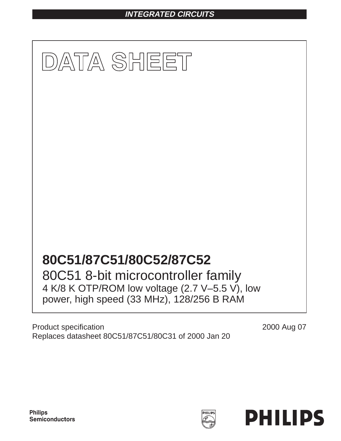# **INTEGRATED CIRCUITS**



Product specification Replaces datasheet 80C51/87C51/80C31 of 2000 Jan 20 2000 Aug 07

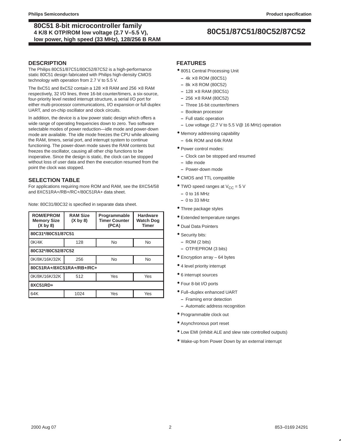# **80C51/87C51/80C52/87C52 80C51 8-bit microcontroller family 4 K/8 K OTP/ROM low voltage (2.7 V–5.5 V), low power, high speed (33 MHz), 128/256 B RAM**

### **DESCRIPTION**

The Philips 80C51/87C51/80C52/87C52 is a high-performance static 80C51 design fabricated with Philips high-density CMOS technology with operation from 2.7 V to 5.5 V.

The 8xC51 and 8xC52 contain a 128  $\times$  8 RAM and 256  $\times$  8 RAM respectively, 32 I/O lines, three 16-bit counter/timers, a six-source, four-priority level nested interrupt structure, a serial I/O port for either multi-processor communications, I/O expansion or full duplex UART, and on-chip oscillator and clock circuits.

In addition, the device is a low power static design which offers a wide range of operating frequencies down to zero. Two software selectable modes of power reduction—idle mode and power-down mode are available. The idle mode freezes the CPU while allowing the RAM, timers, serial port, and interrupt system to continue functioning. The power-down mode saves the RAM contents but freezes the oscillator, causing all other chip functions to be inoperative. Since the design is static, the clock can be stopped without loss of user data and then the execution resumed from the point the clock was stopped.

### **SELECTION TABLE**

For applications requiring more ROM and RAM, see the 8XC54/58 and 8XC51RA+/RB+/RC+/80C51RA+ data sheet.

Note: 80C31/80C32 is specified in separate data sheet.

| <b>ROM/EPROM</b><br><b>Memory Size</b><br>(X by 8) | <b>RAM Size</b><br>(X by 8) | Programmable<br><b>Timer Counter</b><br>(PCA) | <b>Hardware</b><br><b>Watch Dog</b><br><b>Timer</b> |  |  |  |  |  |  |  |
|----------------------------------------------------|-----------------------------|-----------------------------------------------|-----------------------------------------------------|--|--|--|--|--|--|--|
| 80C31*/80C51/87C51                                 |                             |                                               |                                                     |  |  |  |  |  |  |  |
| 0K/4K                                              | 128                         | <b>No</b>                                     | <b>No</b>                                           |  |  |  |  |  |  |  |
| 80C32*/80C52/87C52                                 |                             |                                               |                                                     |  |  |  |  |  |  |  |
| 0K/8K/16K/32K                                      | 256                         | <b>No</b>                                     | <b>No</b>                                           |  |  |  |  |  |  |  |
| 80C51RA+/8XC51RA+/RB+/RC+                          |                             |                                               |                                                     |  |  |  |  |  |  |  |
| 0K/8K/16K/32K                                      | 512                         | Yes                                           | Yes                                                 |  |  |  |  |  |  |  |
| 8XC51RD+                                           |                             |                                               |                                                     |  |  |  |  |  |  |  |
| 64K                                                | 1024                        | Yes                                           | Yes                                                 |  |  |  |  |  |  |  |

### **FEATURES**

- 8051 Central Processing Unit
- **–** 4k × 8 ROM (80C51)
- **–** 8k × 8 ROM (80C52)
- **–** 128 × 8 RAM (80C51)
- **–** 256 × 8 RAM (80C52)
- **–** Three 16-bit counter/timers
- **–** Boolean processor
- **–** Full static operation
- **–** Low voltage (2.7 V to 5.5 V@ 16 MHz) operation
- Memory addressing capability
	- **–** 64k ROM and 64k RAM
- Power control modes:
	- **–** Clock can be stopped and resumed
	- **–** Idle mode
	- **–** Power-down mode
- CMOS and TTL compatible
- TWO speed ranges at  $V_{CC} = 5$  V
	- **–** 0 to 16 MHz
	- **–** 0 to 33 MHz
- Three package styles
- Extended temperature ranges
- Dual Data Pointers
- Security bits:
	- **–** ROM (2 bits)
	- **–** OTP/EPROM (3 bits)
- Encryption array 64 bytes
- 4 level priority interrupt
- 6 interrupt sources
- Four 8-bit I/O ports
- Full–duplex enhanced UART
	- **–** Framing error detection
	- **–** Automatic address recognition
- Programmable clock out
- Asynchronous port reset
- Low EMI (inhibit ALE and slew rate controlled outputs)
- Wake-up from Power Down by an external interrupt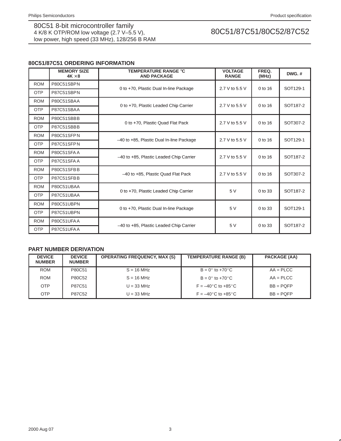# **80C51/87C51 ORDERING INFORMATION**

|            | <b>MEMORY SIZE</b><br>$4K \times 8$ | <b>TEMPERATURE RANGE °C</b><br><b>AND PACKAGE</b> | <b>VOLTAGE</b><br><b>RANGE</b> | FREQ.<br>(MHz) | DWG.#                |  |
|------------|-------------------------------------|---------------------------------------------------|--------------------------------|----------------|----------------------|--|
| <b>ROM</b> | P80C51SBPN                          |                                                   |                                | 0 to 16        |                      |  |
| <b>OTP</b> | P87C51SBPN                          | 0 to +70, Plastic Dual In-line Package            | 2.7 V to 5.5 V                 |                | SOT129-1             |  |
| <b>ROM</b> | P80C51SBAA                          |                                                   |                                |                |                      |  |
| <b>OTP</b> | P87C51SBAA                          | 0 to +70, Plastic Leaded Chip Carrier             | 2.7 V to 5.5 V                 | 0 to 16        | SOT <sub>187-2</sub> |  |
| <b>ROM</b> | P80C51SBBB                          |                                                   |                                |                |                      |  |
| <b>OTP</b> | P87C51SBBB                          | 0 to +70, Plastic Quad Flat Pack                  | 2.7 V to 5.5 V                 | $0$ to 16      | SOT307-2             |  |
| <b>ROM</b> | P80C51SFPN                          |                                                   |                                |                |                      |  |
| <b>OTP</b> | P87C51SFPN                          | -40 to +85, Plastic Dual In-line Package          | 2.7 V to 5.5 V                 | 0 to 16        | SOT129-1             |  |
| <b>ROM</b> | <b>P80C51SFAA</b>                   |                                                   |                                |                | SOT187-2             |  |
| <b>OTP</b> | <b>P87C51SFAA</b>                   | -40 to +85, Plastic Leaded Chip Carrier           | 2.7 V to 5.5 V                 | 0 to 16        |                      |  |
| <b>ROM</b> | P80C51SFBB                          | -40 to +85, Plastic Quad Flat Pack                | 2.7 V to 5.5 V                 | $0$ to 16      | SOT307-2             |  |
| <b>OTP</b> | P87C51SFBB                          |                                                   |                                |                |                      |  |
| <b>ROM</b> | P80C51UBAA                          |                                                   | 5 V                            | 0 to 33        | SOT187-2             |  |
| <b>OTP</b> | P87C51UBAA                          | 0 to +70, Plastic Leaded Chip Carrier             |                                |                |                      |  |
| <b>ROM</b> | P80C51UBPN                          |                                                   |                                |                |                      |  |
| <b>OTP</b> | P87C51UBPN                          | 0 to +70, Plastic Dual In-line Package            | 5 V                            | $0$ to $33$    | SOT129-1             |  |
| <b>ROM</b> | P80C51UFAA                          |                                                   |                                |                |                      |  |
| <b>OTP</b> | P87C51UFAA                          | -40 to +85, Plastic Leaded Chip Carrier           | 5 V                            | 0 to 33        | SOT187-2             |  |

# **PART NUMBER DERIVATION**

| <b>DEVICE</b><br><b>NUMBER</b> | <b>DEVICE</b><br><b>NUMBER</b> | <b>OPERATING FREQUENCY, MAX (S)</b> | <b>TEMPERATURE RANGE (B)</b>           | PACKAGE (AA)   |
|--------------------------------|--------------------------------|-------------------------------------|----------------------------------------|----------------|
| <b>ROM</b>                     | P80C51                         | $S = 16 MHz$                        | $B = 0^\circ$ to +70 $^\circ$ C        | $AA = P L C C$ |
| <b>ROM</b>                     | P80C52                         | $S = 16 MHz$                        | $B = 0^\circ$ to +70 $^\circ$ C        | $AA = P L C C$ |
| <b>OTP</b>                     | P87C51                         | $U = 33 MHz$                        | $F = -40^{\circ}$ C to $+85^{\circ}$ C | $BB = POFP$    |
| <b>OTP</b>                     | P87C52                         | $U = 33 MHz$                        | $F = -40^{\circ}$ C to $+85^{\circ}$ C | $BB = PQFP$    |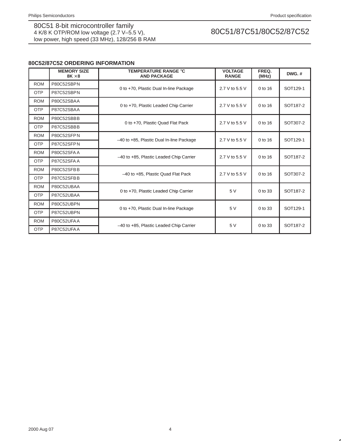# **80C52/87C52 ORDERING INFORMATION**

|            | <b>MEMORY SIZE</b><br>$8K \times 8$ | <b>TEMPERATURE RANGE °C</b><br><b>AND PACKAGE</b> | <b>VOLTAGE</b><br><b>RANGE</b> | FREQ.<br>(MHz) | $DWG.$ #             |  |
|------------|-------------------------------------|---------------------------------------------------|--------------------------------|----------------|----------------------|--|
| <b>ROM</b> | P80C52SBPN                          |                                                   |                                | $0$ to 16      |                      |  |
| <b>OTP</b> | P87C52SBPN                          | 0 to +70, Plastic Dual In-line Package            | 2.7 V to 5.5 V                 |                | SOT129-1             |  |
| <b>ROM</b> | P80C52SBAA                          |                                                   |                                |                |                      |  |
| <b>OTP</b> | P87C52SBAA                          | 0 to +70, Plastic Leaded Chip Carrier             | 2.7 V to 5.5 V                 | $0$ to 16      | SOT187-2             |  |
| <b>ROM</b> | P80C52SBBB                          |                                                   |                                |                |                      |  |
| <b>OTP</b> | P87C52SBBB                          | 0 to +70, Plastic Quad Flat Pack                  | 2.7 V to 5.5 V                 | 0 to 16        | SOT307-2             |  |
| <b>ROM</b> | P80C52SFPN                          |                                                   |                                |                | SOT129-1             |  |
| <b>OTP</b> | P87C52SFPN                          | -40 to +85, Plastic Dual In-line Package          | 2.7 V to 5.5 V                 | $0$ to 16      |                      |  |
| <b>ROM</b> | P80C52SFA A                         |                                                   | 2.7 V to 5.5 V                 | 0 to 16        | SOT <sub>187-2</sub> |  |
| <b>OTP</b> | P87C52SFAA                          | -40 to +85, Plastic Leaded Chip Carrier           |                                |                |                      |  |
| <b>ROM</b> | P80C52SFBB                          | -40 to +85, Plastic Quad Flat Pack                | 2.7 V to 5.5 V                 | $0$ to 16      | SOT307-2             |  |
| <b>OTP</b> | P87C52SFBB                          |                                                   |                                |                |                      |  |
| <b>ROM</b> | P80C52UBAA                          | 0 to +70, Plastic Leaded Chip Carrier             | 5V                             | $0$ to 33      | SOT <sub>187-2</sub> |  |
| <b>OTP</b> | P87C52UBAA                          |                                                   |                                |                |                      |  |
| <b>ROM</b> | P80C52UBPN                          |                                                   |                                |                |                      |  |
| <b>OTP</b> | P87C52UBPN                          | 0 to +70, Plastic Dual In-line Package            | 5 V                            | $0$ to $33$    | SOT129-1             |  |
| <b>ROM</b> | P80C52UFAA                          |                                                   | 5 V                            | 0 to 33        |                      |  |
| <b>OTP</b> | P87C52UFAA                          | -40 to +85, Plastic Leaded Chip Carrier           |                                |                | SOT187-2             |  |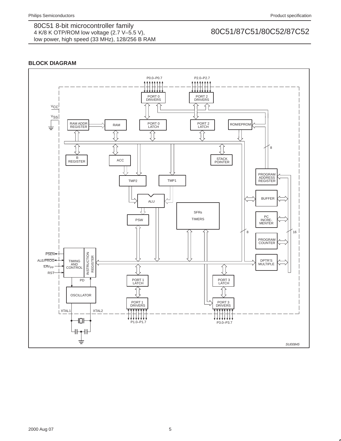# **BLOCK DIAGRAM**

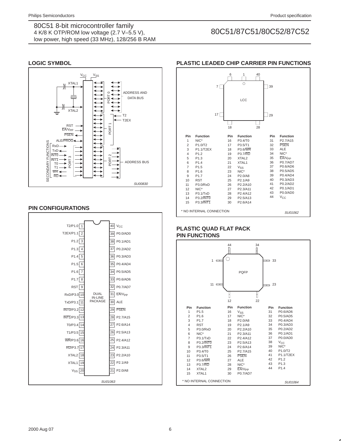# **LOGIC SYMBOL**



## **PIN CONFIGURATIONS**



# **PLASTIC LEADED CHIP CARRIER PIN FUNCTIONS**

|                         |                          | 7<br>17 | 6   | 1<br>$\circ$<br>LCC | 40 | 39<br>29 |                    |
|-------------------------|--------------------------|---------|-----|---------------------|----|----------|--------------------|
|                         |                          |         | 18  |                     | 28 |          |                    |
| Pin                     | <b>Function</b>          |         | Pin | <b>Function</b>     |    | Pin      | <b>Function</b>    |
| 1                       | $NIC^*$                  |         | 16  | P3.4/T0             |    | 31       | P2.7/A15           |
| $\overline{2}$          | P1.0/T2                  |         | 17  | P3.5/T1             |    | 32       | <b>PSEN</b>        |
| 3                       | P1.1/T2EX                |         | 18  | <b>P3.6/WR</b>      |    | 33       | <b>ALE</b>         |
| $\overline{\mathbf{4}}$ | P <sub>1.2</sub>         |         | 19  | <b>P3.7/RD</b>      |    | 34       | $NIC^*$            |
| 5                       | P1.3                     |         | 20  | XTAL <sub>2</sub>   |    | 35       | EA/V <sub>PP</sub> |
| 6                       | P <sub>1.4</sub>         |         | 21  | XTAL1               |    | 36       | P0.7/AD7           |
| $\overline{7}$          | P <sub>1.5</sub>         |         | 22  | Vss                 |    | 37       | P0.6/AD6           |
| 8                       | P <sub>1.6</sub>         |         | 23  | NIC*                |    | 38       | P0.5/AD5           |
| 9                       | P <sub>1.7</sub>         |         | 24  | P2.0/A8             |    | 39       | P0.4/AD4           |
| 10                      | <b>RST</b>               |         | 25  | P2.1/A9             |    | 40       | P0.3/AD3           |
| 11                      | P3.0/RxD                 |         | 26  | P2.2/A10            |    | 41       | P0.2/AD2           |
| 12                      | $NIC^*$                  |         | 27  | P2.3/A11            |    | 42       | P0.1/AD1           |
| 13                      | <b>P3.1/TxD</b>          |         | 28  | P2.4/A12            |    | 43       | P0.0/AD0           |
| 14                      | P3.2/INT0                |         | 29  | P2.5/A13            |    | 44       | $V_{CC}$           |
| 15                      | P3.3/INT1                |         | 30  | P2.6/A14            |    |          |                    |
|                         | * NO INTERNAL CONNECTION |         |     |                     |    |          | SU01062            |

# **PLASTIC QUAD FLAT PACK PIN FUNCTIONS**

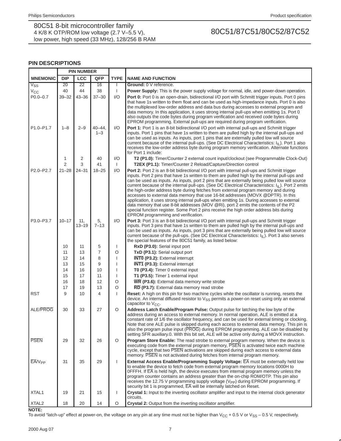## **PIN DESCRIPTIONS**

|                    | <b>PIN NUMBER</b> |                  |                        |              |                                                                                                                                                                                                                                                                                                                                                                                                                                                                                                                                                                                                                                                                                                                                                                                                                                                                                                                   |
|--------------------|-------------------|------------------|------------------------|--------------|-------------------------------------------------------------------------------------------------------------------------------------------------------------------------------------------------------------------------------------------------------------------------------------------------------------------------------------------------------------------------------------------------------------------------------------------------------------------------------------------------------------------------------------------------------------------------------------------------------------------------------------------------------------------------------------------------------------------------------------------------------------------------------------------------------------------------------------------------------------------------------------------------------------------|
| <b>MNEMONIC</b>    | <b>DIP</b>        | <b>LCC</b>       | QFP                    | <b>TYPE</b>  | <b>NAME AND FUNCTION</b>                                                                                                                                                                                                                                                                                                                                                                                                                                                                                                                                                                                                                                                                                                                                                                                                                                                                                          |
| $V_{SS}$           | 20                | $\overline{22}$  | 16                     | $\mathbf{I}$ | Ground: 0 V reference.                                                                                                                                                                                                                                                                                                                                                                                                                                                                                                                                                                                                                                                                                                                                                                                                                                                                                            |
| $V_{CC}$           | 40                | 44               | 38                     | $\mathbf{I}$ | Power Supply: This is the power supply voltage for normal, idle, and power-down operation.                                                                                                                                                                                                                                                                                                                                                                                                                                                                                                                                                                                                                                                                                                                                                                                                                        |
| $P0.0 - 0.7$       | $39 - 32$         | $43 - 36$        | $37 - 30$              | 1/O          | <b>Port 0:</b> Port 0 is an open-drain, bidirectional I/O port with Schmitt trigger inputs. Port 0 pins<br>that have 1s written to them float and can be used as high-impedance inputs. Port 0 is also<br>the multiplexed low-order address and data bus during accesses to external program and<br>data memory. In this application, it uses strong internal pull-ups when emitting 1s. Port 0<br>also outputs the code bytes during program verification and received code bytes during<br>EPROM programming. External pull-ups are required during program verification.                                                                                                                                                                                                                                                                                                                                       |
| P1.0-P1.7          | $1 - 8$           | $2 - 9$          | $40 - 44$ .<br>$1 - 3$ | I/O          | <b>Port 1:</b> Port 1 is an 8-bit bidirectional I/O port with internal pull-ups and Schmitt trigger<br>inputs. Port 1 pins that have 1s written to them are pulled high by the internal pull-ups and<br>can be used as inputs. As inputs, port 1 pins that are externally pulled low will source<br>current because of the internal pull-ups. (See DC Electrical Characteristics: I <sub>IL</sub> ). Port 1 also<br>receives the low-order address byte during program memory verification. Alternate functions<br>for Port 1 include:                                                                                                                                                                                                                                                                                                                                                                            |
|                    | 1                 | 2                | 40                     | 1/O          | T2 (P1.0): Timer/Counter 2 external count input/clockout (see Programmable Clock-Out)                                                                                                                                                                                                                                                                                                                                                                                                                                                                                                                                                                                                                                                                                                                                                                                                                             |
|                    | 2                 | 3                | 41                     | $\mathbf{I}$ | T2EX (P1.1): Timer/Counter 2 Reload/Capture/Direction control                                                                                                                                                                                                                                                                                                                                                                                                                                                                                                                                                                                                                                                                                                                                                                                                                                                     |
| P2.0-P2.7          | $21 - 28$         | $24 - 31$        | $18 - 25$              | 1/O          | <b>Port 2:</b> Port 2 is an 8-bit bidirectional I/O port with internal pull-ups and Schmitt trigger<br>inputs. Port 2 pins that have 1s written to them are pulled high by the internal pull-ups and<br>can be used as inputs. As inputs, port 2 pins that are externally being pulled low will source<br>current because of the internal pull-ups. (See DC Electrical Characteristics: $I_{II}$ ). Port 2 emits<br>the high-order address byte during fetches from external program memory and during<br>accesses to external data memory that use 16-bit addresses (MOVX @DPTR). In this<br>application, it uses strong internal pull-ups when emitting 1s. During accesses to external<br>data memory that use 8-bit addresses (MOV @Ri), port 2 emits the contents of the P2<br>special function register. Some Port 2 pins receive the high order address bits during<br>EPROM programming and verification. |
| P3.0-P3.7          | $10 - 17$         | 11,<br>$13 - 19$ | 5,<br>$7 - 13$         | 1/O          | Port 3: Port 3 is an 8-bit bidirectional I/O port with internal pull-ups and Schmitt trigger<br>inputs. Port 3 pins that have 1s written to them are pulled high by the internal pull-ups and<br>can be used as inputs. As inputs, port 3 pins that are externally being pulled low will source<br>current because of the pull-ups. (See DC Electrical Characteristics: $I_{\parallel L}$ ). Port 3 also serves<br>the special features of the 80C51 family, as listed below:                                                                                                                                                                                                                                                                                                                                                                                                                                     |
|                    | 10                | 11               | 5                      | I            | RxD (P3.0): Serial input port                                                                                                                                                                                                                                                                                                                                                                                                                                                                                                                                                                                                                                                                                                                                                                                                                                                                                     |
|                    | 11                | 13               | 7                      | O            | TxD (P3.1): Serial output port                                                                                                                                                                                                                                                                                                                                                                                                                                                                                                                                                                                                                                                                                                                                                                                                                                                                                    |
|                    | 12                | 14               | 8                      |              | <b>INTO</b> (P3.2): External interrupt                                                                                                                                                                                                                                                                                                                                                                                                                                                                                                                                                                                                                                                                                                                                                                                                                                                                            |
|                    | 13                | 15               | 9                      |              | <b>INT1 (P3.3):</b> External interrupt                                                                                                                                                                                                                                                                                                                                                                                                                                                                                                                                                                                                                                                                                                                                                                                                                                                                            |
|                    | 14                | 16               | 10                     |              | TO (P3.4): Timer 0 external input                                                                                                                                                                                                                                                                                                                                                                                                                                                                                                                                                                                                                                                                                                                                                                                                                                                                                 |
|                    | 15                | 17               | 11                     |              | T1 (P3.5): Timer 1 external input                                                                                                                                                                                                                                                                                                                                                                                                                                                                                                                                                                                                                                                                                                                                                                                                                                                                                 |
|                    | 16                | 18               | 12                     | O            | WR (P3.6): External data memory write strobe                                                                                                                                                                                                                                                                                                                                                                                                                                                                                                                                                                                                                                                                                                                                                                                                                                                                      |
|                    | 17                | 19               | 13                     | O            | RD (P3.7): External data memory read strobe                                                                                                                                                                                                                                                                                                                                                                                                                                                                                                                                                                                                                                                                                                                                                                                                                                                                       |
| <b>RST</b>         | 9                 | 10               | 4                      | $\mathbf{I}$ | <b>Reset:</b> A high on this pin for two machine cycles while the oscillator is running, resets the<br>device. An internal diffused resistor to $V_{SS}$ permits a power-on reset using only an external<br>capacitor to $V_{CC}$ .                                                                                                                                                                                                                                                                                                                                                                                                                                                                                                                                                                                                                                                                               |
| <b>ALE/PROG</b>    | 30                | 33               | 27                     | O            | Address Latch Enable/Program Pulse: Output pulse for latching the low byte of the<br>address during an access to external memory. In normal operation, ALE is emitted at a<br>constant rate of 1/6 the oscillator frequency, and can be used for external timing or clocking.<br>Note that one ALE pulse is skipped during each access to external data memory. This pin is<br>also the program pulse input (PROG) during EPROM programming. ALE can be disabled by<br>setting SFR auxiliary.0. With this bit set, ALE will be active only during a MOVX instruction.                                                                                                                                                                                                                                                                                                                                             |
| <b>PSEN</b>        | 29                | 32               | 26                     | O            | <b>Program Store Enable:</b> The read strobe to external program memory. When the device is<br>executing code from the external program memory, PSEN is activated twice each machine<br>cycle, except that two PSEN activations are skipped during each access to external data<br>memory. PSEN is not activated during fetches from internal program memory.                                                                                                                                                                                                                                                                                                                                                                                                                                                                                                                                                     |
| EA/V <sub>PP</sub> | 31                | 35               | 29                     | $\mathbf{I}$ | External Access Enable/Programming Supply Voltage: EA must be externally held low<br>to enable the device to fetch code from external program memory locations 0000H to<br>OFFFH. If $\overline{EA}$ is held high, the device executes from internal program memory unless the<br>program counter contains an address greater than the on-chip ROM/OTP. This pin also<br>receives the 12.75 V programming supply voltage (V <sub>PP</sub> ) during EPROM programming. If<br>security bit 1 is programmed, EA will be internally latched on Reset.                                                                                                                                                                                                                                                                                                                                                                 |
| XTAL1              | 19                | 21               | 15                     | $\mathbf{I}$ | Crystal 1: Input to the inverting oscillator amplifier and input to the internal clock generator<br>circuits.                                                                                                                                                                                                                                                                                                                                                                                                                                                                                                                                                                                                                                                                                                                                                                                                     |
| XTAL <sub>2</sub>  | 18                | 20               | 14                     | O            | Crystal 2: Output from the inverting oscillator amplifier.                                                                                                                                                                                                                                                                                                                                                                                                                                                                                                                                                                                                                                                                                                                                                                                                                                                        |

**NOTE:**

To avoid "latch-up" effect at power-on, the voltage on any pin at any time must not be higher than  $V_{CC}$  + 0.5 V or  $V_{SS}$  – 0.5 V, respectively.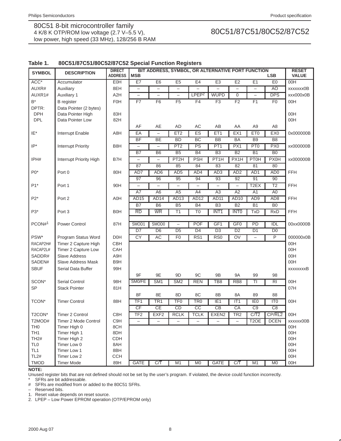## **Table 1. 80C51/87C51/80C52/87C52 Special Function Registers**

| <b>SYMBOL</b>                  | <b>DESCRIPTION</b>         | <b>DIRECT</b><br><b>ADDRESS</b> | <b>MSB</b>               |                          |                          |                          | BIT ADDRESS, SYMBOL, OR ALTERNATIVE PORT FUNCTION |                          |                   | <b>LSB</b>      | <b>RESET</b><br><b>VALUE</b> |
|--------------------------------|----------------------------|---------------------------------|--------------------------|--------------------------|--------------------------|--------------------------|---------------------------------------------------|--------------------------|-------------------|-----------------|------------------------------|
| $\overline{ACC^*}$             | Accumulator                | <b>E0H</b>                      | E7                       | E6                       | E5                       | E4                       | E3                                                | E2                       | E1                | E <sub>0</sub>  | 00H                          |
| AUXR#                          | Auxiliary                  | 8EH                             | $\overline{\phantom{0}}$ | $\equiv$                 | $\qquad \qquad -$        | $\overline{\phantom{0}}$ |                                                   | $\equiv$                 | $\equiv$          | AO              | xxxxxxx0B                    |
| AUXR1#                         | Auxiliary 1                | A <sub>2</sub> H                | $\equiv$                 | $\equiv$                 | $\equiv$                 | LPEP <sup>2</sup>        | <b>WUPD</b>                                       | $\overline{0}$           | $\equiv$          | <b>DPS</b>      | xxx000x0B                    |
| $B^*$                          | <b>B</b> register          | <b>F0H</b>                      | F7                       | F6                       | F5                       | F4                       | F3                                                | F2                       | F1                | F <sub>0</sub>  | 00H                          |
| DPTR:                          | Data Pointer (2 bytes)     |                                 |                          |                          |                          |                          |                                                   |                          |                   |                 |                              |
| <b>DPH</b>                     | Data Pointer High          | 83H                             |                          |                          |                          |                          |                                                   |                          |                   |                 | 00H                          |
| <b>DPL</b>                     | Data Pointer Low           | 82H                             |                          |                          |                          |                          |                                                   |                          |                   |                 | 00H                          |
|                                |                            |                                 | AF                       | AE                       | AD                       | AC                       | AB                                                | AA                       | A <sub>9</sub>    | A8              |                              |
| IE*                            | Interrupt Enable           | A8H                             | EA                       |                          | ET <sub>2</sub>          | ES                       | ET1                                               | EX1                      | ET <sub>0</sub>   | EX0             | 0x000000B                    |
|                                |                            |                                 | BF                       | <b>BE</b>                | <b>BD</b>                | BC                       | <b>BB</b>                                         | <b>BA</b>                | <b>B9</b>         | B <sub>8</sub>  |                              |
| $IP*$                          | <b>Interrupt Priority</b>  | B8H                             | $\overline{\phantom{0}}$ |                          | PT <sub>2</sub>          | PS                       | PT <sub>1</sub>                                   | PX1                      | PT <sub>0</sub>   | PX <sub>0</sub> | xx000000B                    |
|                                |                            |                                 | $\overline{B7}$          | B <sub>6</sub>           | $\overline{B5}$          | $\overline{B4}$          | $\overline{B3}$                                   | $\overline{B2}$          | $\overline{B1}$   | B <sub>0</sub>  |                              |
| IPH#                           | Interrupt Priority High    | B7H                             | $\overline{\phantom{0}}$ | $\overline{\phantom{0}}$ | PT <sub>2H</sub>         | <b>PSH</b>               | PT <sub>1</sub> H                                 | PX1H                     | <b>PT0H</b>       | <b>PX0H</b>     | xx000000B                    |
|                                |                            |                                 | 87                       | 86                       | 85                       | 84                       | 83                                                | 82                       | 81                | 80              |                              |
| $P0*$                          | Port 0                     | 80H                             | AD7                      | AD <sub>6</sub>          | AD <sub>5</sub>          | AD4                      | AD <sub>3</sub>                                   | AD <sub>2</sub>          | AD1               | AD <sub>0</sub> | <b>FFH</b>                   |
|                                |                            |                                 | 97                       | 96                       | 95                       | 94                       | 93                                                | 92                       | 91                | 90              |                              |
| $P1*$                          | Port 1                     | 90H                             | $\overline{\phantom{0}}$ | $\overline{\phantom{0}}$ | $\overline{\phantom{0}}$ | $\overline{\phantom{0}}$ |                                                   | $\overline{\phantom{0}}$ | T <sub>2</sub> EX | T <sub>2</sub>  | <b>FFH</b>                   |
|                                |                            |                                 | $\overline{A7}$          | $\overline{AB}$          | $\overline{A5}$          | A4                       | $\overline{A3}$                                   | A2                       | $\overline{A1}$   | A <sub>0</sub>  |                              |
| $P2*$                          | Port 2                     | A0H                             | AD <sub>15</sub>         | AD14                     | AD <sub>13</sub>         | <b>AD12</b>              | <b>AD11</b>                                       | AD10                     | AD <sub>9</sub>   | AD <sub>8</sub> | <b>FFH</b>                   |
|                                |                            |                                 | B7                       | <b>B6</b>                | B <sub>5</sub>           | <b>B4</b>                | B3                                                | B2                       | $\overline{B1}$   | B <sub>0</sub>  |                              |
| P3*                            | Port 3                     | <b>B0H</b>                      | $\overline{RD}$          | <b>WR</b>                | $\overline{T1}$          | $\overline{10}$          | INT <sub>1</sub>                                  | <b>INTO</b>              | <b>TxD</b>        | <b>RxD</b>      | <b>FFH</b>                   |
|                                |                            |                                 |                          |                          |                          |                          |                                                   |                          |                   |                 |                              |
| PCON# <sup>1</sup>             | Power Control              | 87H                             | SMOD1                    | SMOD <sub>0</sub>        | $\overline{\phantom{0}}$ | POF                      | GF1                                               | GF <sub>0</sub>          | PD                | IDL             | 00xx0000B                    |
|                                |                            |                                 | DT                       | D <sub>6</sub>           | $\overline{D5}$          | D4                       | D3                                                | D <sub>2</sub>           | D1                | D <sub>0</sub>  |                              |
| PSW*                           | Program Status Word        | D <sub>0</sub> H                | CY                       | AC                       | F <sub>0</sub>           | RS1                      | RS <sub>0</sub>                                   | OV                       | $\qquad \qquad -$ | P               | 000000x0B                    |
| RACAP2H#                       | Timer 2 Capture High       | CBH                             |                          |                          |                          |                          |                                                   |                          |                   |                 | 00H                          |
| RACAP2L#                       | Timer 2 Capture Low        | CAH                             |                          |                          |                          |                          |                                                   |                          |                   |                 | 00H                          |
| SADDR#                         | <b>Slave Address</b>       | A9H                             |                          |                          |                          |                          |                                                   |                          |                   |                 | 00H                          |
| SADEN#                         | <b>Slave Address Mask</b>  | B9H                             |                          |                          |                          |                          |                                                   |                          |                   |                 | 00H                          |
| <b>SBUF</b>                    | Serial Data Buffer         | 99H                             |                          |                          |                          |                          |                                                   |                          |                   |                 | xxxxxxxB                     |
|                                |                            |                                 | 9F                       | 9E                       | 9D                       | 9C                       | 9B                                                | <b>9A</b>                | 99                | 98              |                              |
| SCON*                          | <b>Serial Control</b>      | 98H                             | SM0/FE                   | $\overline{\text{SM1}}$  | S <sub>M2</sub>          | <b>REN</b>               | TB8                                               | RB <sub>8</sub>          | TI                | R <sub>l</sub>  | 00H                          |
| <b>SP</b>                      | <b>Stack Pointer</b>       | 81H                             |                          |                          |                          |                          |                                                   |                          |                   |                 | 07H                          |
|                                |                            |                                 | 8F                       | 8E                       | 8D                       | 8C                       | 8B                                                | 8A                       | 89                | 88              |                              |
| TCON*                          | <b>Timer Control</b>       | 88H                             | TF <sub>1</sub>          | TR <sub>1</sub>          | TF <sub>0</sub>          | TR <sub>0</sub>          | IE <sub>1</sub>                                   | IT <sub>1</sub>          | IE <sub>0</sub>   | IT <sub>0</sub> | 00H                          |
|                                |                            |                                 | CF                       | CE                       | CD                       | $\overline{CC}$          | CB                                                | CA                       | $\overline{C9}$   | C8              |                              |
| T2CON*                         | Timer 2 Control            | C8H                             | TF2                      | EXF <sub>2</sub>         | <b>RCLK</b>              | <b>TCLK</b>              | EXEN <sub>2</sub>                                 | TR <sub>2</sub>          | C/T2              | CP/RL2          | 00H                          |
| T2MOD#                         | Timer 2 Mode Control       | C9H                             | $\qquad \qquad -$        | $\overline{\phantom{0}}$ | $\overline{\phantom{0}}$ | $\qquad \qquad -$        | $\qquad \qquad -$                                 | $\overline{\phantom{m}}$ | T <sub>2</sub> OE | <b>DCEN</b>     | xxxxxx00B                    |
| TH <sub>0</sub>                | Timer High 0               | 8CH                             |                          |                          |                          |                          |                                                   |                          |                   |                 | 00H                          |
| TH <sub>1</sub>                | Timer High 1               | 8DH                             |                          |                          |                          |                          |                                                   |                          |                   |                 | 00H                          |
| <b>TH2#</b>                    | Timer High 2               | CDH                             |                          |                          |                          |                          |                                                   |                          |                   |                 | 00H                          |
| TL <sub>0</sub>                | Timer Low 0                | 8AH                             |                          |                          |                          |                          |                                                   |                          |                   |                 | 00H                          |
| TL <sub>1</sub><br><b>TL2#</b> | Timer Low 1<br>Timer Low 2 | 8BH<br><b>CCH</b>               |                          |                          |                          |                          |                                                   |                          |                   |                 | 00H<br>00H                   |
| <b>TMOD</b>                    |                            | 89H                             | <b>GATE</b>              | C/T                      | M1                       |                          | <b>GATE</b>                                       | C/T                      | $\overline{M1}$   | M <sub>0</sub>  |                              |
|                                | <b>Timer Mode</b>          |                                 |                          |                          |                          | M <sub>0</sub>           |                                                   |                          |                   |                 | 00H                          |

**NOTE:**

Unused register bits that are not defined should not be set by the user's program. If violated, the device could function incorrectly.

SFRs are bit addressable. # SFRs are modified from or added to the 80C51 SFRs.

– Reserved bits.

1. Reset value depends on reset source.

2. LPEP – Low Power EPROM operation (OTP/EPROM only)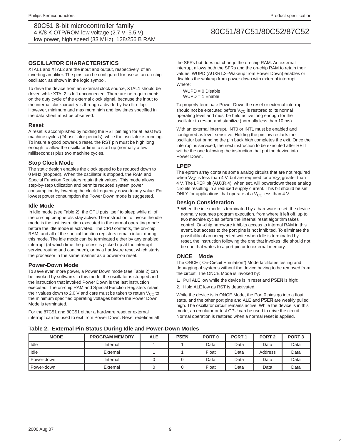## **OSCILLATOR CHARACTERISTICS**

XTAL1 and XTAL2 are the input and output, respectively, of an inverting amplifier. The pins can be configured for use as an on-chip oscillator, as shown in the logic symbol.

To drive the device from an external clock source, XTAL1 should be driven while XTAL2 is left unconnected. There are no requirements on the duty cycle of the external clock signal, because the input to the internal clock circuitry is through a divide-by-two flip-flop. However, minimum and maximum high and low times specified in the data sheet must be observed.

## **Reset**

A reset is accomplished by holding the RST pin high for at least two machine cycles (24 oscillator periods), while the oscillator is running. To insure a good power-up reset, the RST pin must be high long enough to allow the oscillator time to start up (normally a few milliseconds) plus two machine cycles.

### **Stop Clock Mode**

The static design enables the clock speed to be reduced down to 0 MHz (stopped). When the oscillator is stopped, the RAM and Special Function Registers retain their values. This mode allows step-by-step utilization and permits reduced system power consumption by lowering the clock frequency down to any value. For lowest power consumption the Power Down mode is suggested.

### **Idle Mode**

In idle mode (see Table 2), the CPU puts itself to sleep while all of the on-chip peripherals stay active. The instruction to invoke the idle mode is the last instruction executed in the normal operating mode before the idle mode is activated. The CPU contents, the on-chip RAM, and all of the special function registers remain intact during this mode. The idle mode can be terminated either by any enabled interrupt (at which time the process is picked up at the interrupt service routine and continued), or by a hardware reset which starts the processor in the same manner as a power-on reset.

### **Power-Down Mode**

To save even more power, a Power Down mode (see Table 2) can be invoked by software. In this mode, the oscillator is stopped and the instruction that invoked Power Down is the last instruction executed. The on-chip RAM and Special Function Registers retain their values down to 2.0 V and care must be taken to return  $V_{CC}$  to the minimum specified operating voltages before the Power Down Mode is terminated.

For the 87C51 and 80C51 either a hardware reset or external interrupt can be used to exit from Power Down. Reset redefines all

the SFRs but does not change the on-chip RAM. An external interrupt allows both the SFRs and the on-chip RAM to retain their values. WUPD (AUXR1.3–Wakeup from Power Down) enables or disables the wakeup from power down with external interrupt. Where:

WUPD = 0 Disable  $WUPD = 1$  Enable

To properly terminate Power Down the reset or external interrupt should not be executed before  $V_{CC}$  is restored to its normal operating level and must be held active long enough for the oscillator to restart and stabilize (normally less than 10 ms).

With an external interrupt, INT0 or INT1 must be enabled and configured as level-sensitive. Holding the pin low restarts the oscillator but bringing the pin back high completes the exit. Once the interrupt is serviced, the next instruction to be executed after RETI will be the one following the instruction that put the device into Power Down.

### **LPEP**

The eprom array contains some analog circuits that are not required when  $V_{CC}$  is less than 4 V, but are required for a  $V_{CC}$  greater than 4 V. The LPEP bit (AUXR.4), when set, will powerdown these analog circuits resulting in a reduced supply current. This bit should be set ONLY for applications that operate at a  $V_{CC}$  less than 4 V.

### **Design Consideration**

• When the idle mode is terminated by a hardware reset, the device normally resumes program execution, from where it left off, up to two machine cycles before the internal reset algorithm takes control. On-chip hardware inhibits access to internal RAM in this event, but access to the port pins is not inhibited. To eliminate the possibility of an unexpected write when Idle is terminated by reset, the instruction following the one that invokes Idle should not be one that writes to a port pin or to external memory.

### **ONCE Mode**

The ONCE ("On-Circuit Emulation") Mode facilitates testing and debugging of systems without the device having to be removed from the circuit. The ONCE Mode is invoked by:

- 1. Pull ALE low while the device is in reset and PSEN is high;
- 2. Hold ALE low as RST is deactivated.

While the device is in ONCE Mode, the Port 0 pins go into a float state, and the other port pins and ALE and PSEN are weakly pulled high. The oscillator circuit remains active. While the device is in this mode, an emulator or test CPU can be used to drive the circuit. Normal operation is restored when a normal reset is applied.

**Table 2. External Pin Status During Idle and Power-Down Modes**

| <b>MODE</b>  | <b>PROGRAM MEMORY</b> | <b>ALE</b> | <b>PSEN</b> | PORT <sub>0</sub> | PORT <sub>1</sub> | PORT <sub>2</sub> | PORT <sub>3</sub> |
|--------------|-----------------------|------------|-------------|-------------------|-------------------|-------------------|-------------------|
| Idle         | Internal              |            |             | Data              | Data              | Data              | Data              |
| Idle         | External              |            |             | Float             | Data              | Address           | Data              |
| . Power-down | Internal              |            |             | Data              | Data              | Data              | Data              |
| . Power-down | External              |            |             | Float             | Data              | Data              | Data              |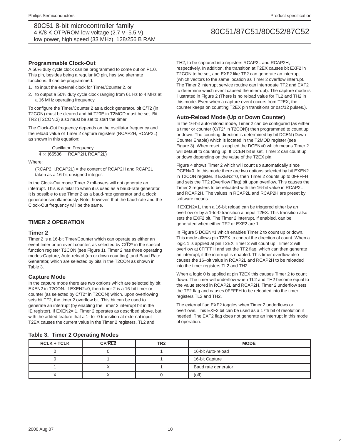### **Programmable Clock-Out**

A 50% duty cycle clock can be programmed to come out on P1.0. This pin, besides being a regular I/O pin, has two alternate functions. It can be programmed:

- 1. to input the external clock for Timer/Counter 2, or
- 2. to output a 50% duty cycle clock ranging from 61 Hz to 4 MHz at a 16 MHz operating frequency.

To configure the Timer/Counter 2 as a clock generator, bit C/T2 (in T2CON) must be cleared and bit T20E in T2MOD must be set. Bit TR2 (T2CON.2) also must be set to start the timer.

The Clock-Out frequency depends on the oscillator frequency and the reload value of Timer 2 capture registers (RCAP2H, RCAP2L) as shown in this equation:

**Oscillator Frequency**

\n
$$
4 \times (65536 - RCAP2H, RCAP2L)
$$

Where:

(RCAP2H,RCAP2L) = the content of RCAP2H and RCAP2L taken as a 16-bit unsigned integer.

In the Clock-Out mode Timer 2 roll-overs will not generate an interrupt. This is similar to when it is used as a baud-rate generator. It is possible to use Timer 2 as a baud-rate generator and a clock generator simultaneously. Note, however, that the baud-rate and the Clock-Out frequency will be the same.

# **TIMER 2 OPERATION**

### **Timer 2**

Timer 2 is a 16-bit Timer/Counter which can operate as either an event timer or an event counter, as selected by C/T2\* in the special function register T2CON (see Figure 1). Timer 2 has three operating modes:Capture, Auto-reload (up or down counting) ,and Baud Rate Generator, which are selected by bits in the T2CON as shown in Table 3.

#### **Capture Mode**

In the capture mode there are two options which are selected by bit EXEN2 in T2CON. If EXEN2=0, then timer 2 is a 16-bit timer or counter (as selected by C/T2\* in T2CON) which, upon overflowing sets bit TF2, the timer 2 overflow bit. This bit can be used to generate an interrupt (by enabling the Timer 2 interrupt bit in the IE register). If EXEN2= 1, Timer 2 operates as described above, but with the added feature that a 1- to -0 transition at external input T2EX causes the current value in the Timer 2 registers, TL2 and

TH2, to be captured into registers RCAP2L and RCAP2H, respectively. In addition, the transition at T2EX causes bit EXF2 in T2CON to be set, and EXF2 like TF2 can generate an interrupt (which vectors to the same location as Timer 2 overflow interrupt. The Timer 2 interrupt service routine can interrogate TF2 and EXF2 to determine which event caused the interrupt). The capture mode is illustrated in Figure 2 (There is no reload value for TL2 and TH2 in this mode. Even when a capture event occurs from T2EX, the counter keeps on counting T2EX pin transitions or osc/12 pulses.).

### **Auto-Reload Mode (Up or Down Counter)**

In the 16-bit auto-reload mode, Timer 2 can be configured (as either a timer or counter (C/T2\* in T2CON)) then programmed to count up or down. The counting direction is determined by bit DCEN (Down Counter Enable) which is located in the T2MOD register (see Figure 3). When reset is applied the DCEN=0 which means Timer 2 will default to counting up. If DCEN bit is set, Timer 2 can count up or down depending on the value of the T2EX pin.

Figure 4 shows Timer 2 which will count up automatically since DCEN=0. In this mode there are two options selected by bit EXEN2 in T2CON register. If EXEN2=0, then Timer 2 counts up to 0FFFFH and sets the TF2 (Overflow Flag) bit upon overflow. This causes the Timer 2 registers to be reloaded with the 16-bit value in RCAP2L and RCAP2H. The values in RCAP2L and RCAP2H are preset by software means.

If EXEN2=1, then a 16-bit reload can be triggered either by an overflow or by a 1-to-0 transition at input T2EX. This transition also sets the EXF2 bit. The Timer 2 interrupt, if enabled, can be generated when either TF2 or EXF2 are 1.

In Figure 5 DCEN=1 which enables Timer 2 to count up or down. This mode allows pin T2EX to control the direction of count. When a logic 1 is applied at pin T2EX Timer 2 will count up. Timer 2 will overflow at 0FFFFH and set the TF2 flag, which can then generate an interrupt, if the interrupt is enabled. This timer overflow also causes the 16–bit value in RCAP2L and RCAP2H to be reloaded into the timer registers TL2 and TH2.

When a logic 0 is applied at pin T2EX this causes Timer 2 to count down. The timer will underflow when TL2 and TH2 become equal to the value stored in RCAP2L and RCAP2H. Timer 2 underflow sets the TF2 flag and causes 0FFFFH to be reloaded into the timer registers TL2 and TH2.

The external flag EXF2 toggles when Timer 2 underflows or overflows. This EXF2 bit can be used as a 17th bit of resolution if needed. The EXF2 flag does not generate an interrupt in this mode of operation.

#### **Table 3. Timer 2 Operating Modes**

| <b>RCLK + TCLK</b> | CP/RL2 | TR <sub>2</sub> | <b>MODE</b>         |
|--------------------|--------|-----------------|---------------------|
|                    |        |                 | 16-bit Auto-reload  |
|                    |        |                 | 16-bit Capture      |
|                    |        |                 | Baud rate generator |
|                    |        |                 | $($ off $)$         |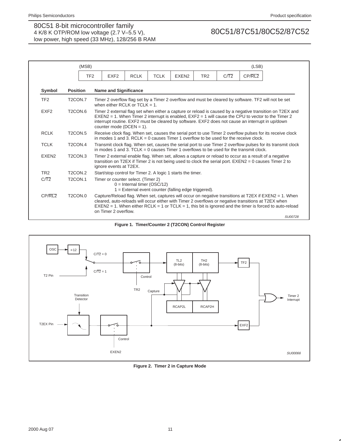|                    | (MSB)                            |                                                                                                                                                                                                                                             |                               |             |                                                        |                 |      | (LSB)  |                                                                                                                                                                                                                     |
|--------------------|----------------------------------|---------------------------------------------------------------------------------------------------------------------------------------------------------------------------------------------------------------------------------------------|-------------------------------|-------------|--------------------------------------------------------|-----------------|------|--------|---------------------------------------------------------------------------------------------------------------------------------------------------------------------------------------------------------------------|
|                    |                                  | TF <sub>2</sub><br>EXF <sub>2</sub>                                                                                                                                                                                                         | <b>RCLK</b>                   | <b>TCLK</b> | EXEN <sub>2</sub>                                      | TR <sub>2</sub> | C/T2 | CP/RL2 |                                                                                                                                                                                                                     |
| Symbol             | <b>Position</b>                  | <b>Name and Significance</b>                                                                                                                                                                                                                |                               |             |                                                        |                 |      |        |                                                                                                                                                                                                                     |
| TF <sub>2</sub>    | T <sub>2</sub> CON.7             | Timer 2 overflow flag set by a Timer 2 overflow and must be cleared by software. TF2 will not be set<br>when either RCI K or TCI $K = 1$ .                                                                                                  |                               |             |                                                        |                 |      |        |                                                                                                                                                                                                                     |
| EXF <sub>2</sub>   | T <sub>2</sub> CON <sub>.6</sub> | $EXEN2 = 1$ . When Timer 2 interrupt is enabled, $EXF2 = 1$ will cause the CPU to vector to the Timer 2<br>interrupt routine. EXF2 must be cleared by software. EXF2 does not cause an interrupt in up/down<br>counter mode ( $DCEN = 1$ ). |                               |             |                                                        |                 |      |        | Timer 2 external flag set when either a capture or reload is caused by a negative transition on T2EX and                                                                                                            |
| <b>RCLK</b>        | T <sub>2</sub> CON <sub>.5</sub> | in modes 1 and 3. RCLK = 0 causes Timer 1 overflow to be used for the receive clock.                                                                                                                                                        |                               |             |                                                        |                 |      |        | Receive clock flag. When set, causes the serial port to use Timer 2 overflow pulses for its receive clock                                                                                                           |
| <b>TCLK</b>        | T <sub>2</sub> CON <sub>.4</sub> | in modes 1 and 3. TCLK = 0 causes Timer 1 overflows to be used for the transmit clock.                                                                                                                                                      |                               |             |                                                        |                 |      |        | Transmit clock flag. When set, causes the serial port to use Timer 2 overflow pulses for its transmit clock                                                                                                         |
| EXEN <sub>2</sub>  | T <sub>2</sub> CON <sub>3</sub>  | Timer 2 external enable flag. When set, allows a capture or reload to occur as a result of a negative<br>transition on T2EX if Timer 2 is not being used to clock the serial port. EXEN2 = 0 causes Timer 2 to<br>ignore events at T2EX.    |                               |             |                                                        |                 |      |        |                                                                                                                                                                                                                     |
| TR <sub>2</sub>    | T <sub>2</sub> CON <sub>.2</sub> | Start/stop control for Timer 2. A logic 1 starts the timer.                                                                                                                                                                                 |                               |             |                                                        |                 |      |        |                                                                                                                                                                                                                     |
| C/T2               | <b>T2CON.1</b>                   | Timer or counter select. (Timer 2)                                                                                                                                                                                                          | $0 =$ Internal timer (OSC/12) |             | $1 =$ External event counter (falling edge triggered). |                 |      |        |                                                                                                                                                                                                                     |
| CP/RI <sub>2</sub> | T <sub>2</sub> CON <sub>.0</sub> | cleared, auto-reloads will occur either with Timer 2 overflows or negative transitions at T2EX when<br>on Timer 2 overflow.                                                                                                                 |                               |             |                                                        |                 |      |        | Capture/Reload flag. When set, captures will occur on negative transitions at T2EX if EXEN2 = 1. When<br>$EXEN2 = 1$ . When either RCLK = 1 or TCLK = 1, this bit is ignored and the timer is forced to auto-reload |
|                    |                                  |                                                                                                                                                                                                                                             |                               |             |                                                        |                 |      |        | SU00728                                                                                                                                                                                                             |





**Figure 2. Timer 2 in Capture Mode**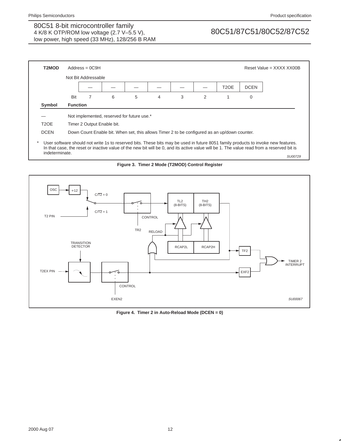

SU00729





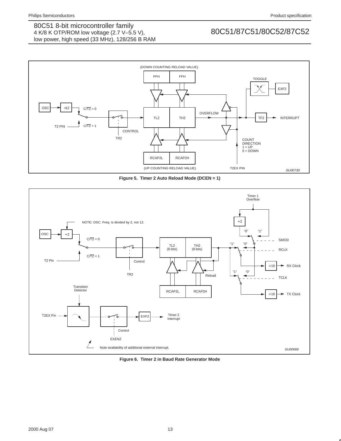

**Figure 5. Timer 2 Auto Reload Mode (DCEN = 1)**



**Figure 6. Timer 2 in Baud Rate Generator Mode**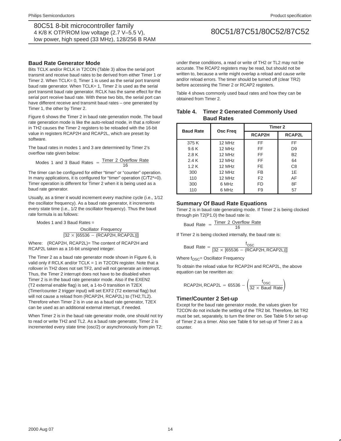### **Baud Rate Generator Mode**

Bits TCLK and/or RCLK in T2CON (Table 3) allow the serial port transmit and receive baud rates to be derived from either Timer 1 or Timer 2. When TCLK= 0, Timer 1 is used as the serial port transmit baud rate generator. When TCLK= 1, Timer 2 is used as the serial port transmit baud rate generator. RCLK has the same effect for the serial port receive baud rate. With these two bits, the serial port can have different receive and transmit baud rates – one generated by Timer 1, the other by Timer 2.

Figure 6 shows the Timer 2 in baud rate generation mode. The baud rate generation mode is like the auto-reload mode, in that a rollover in TH2 causes the Timer 2 registers to be reloaded with the 16-bit value in registers RCAP2H and RCAP2L, which are preset by software.

The baud rates in modes 1 and 3 are determined by Timer 2's overflow rate given below:

$$
Modes 1 and 3 Baud Rates = \frac{Timer 2 Overflow Rate}{16}
$$

The timer can be configured for either "timer" or "counter" operation. In many applications, it is configured for "timer" operation  $(C/T2<sup>*</sup>=0)$ . Timer operation is different for Timer 2 when it is being used as a baud rate generator.

Usually, as a timer it would increment every machine cycle (i.e., 1/12 the oscillator frequency). As a baud rate generator, it increments every state time (i.e., 1/2 the oscillator frequency). Thus the baud rate formula is as follows:

Modes 1 and 3 Baud Rates =

Oscillator Frequency  $[32 \times [65536 - (RCAP2H, RCAP2L)]]]$ 

Where: (RCAP2H, RCAP2L)= The content of RCAP2H and RCAP2L taken as a 16-bit unsigned integer.

The Timer 2 as a baud rate generator mode shown in Figure 6, is valid only if RCLK and/or TCLK = 1 in T2CON register. Note that a rollover in TH2 does not set TF2, and will not generate an interrupt. Thus, the Timer 2 interrupt does not have to be disabled when Timer 2 is in the baud rate generator mode. Also if the EXEN2 (T2 external enable flag) is set, a 1-to-0 transition in T2EX (Timer/counter 2 trigger input) will set EXF2 (T2 external flag) but will not cause a reload from (RCAP2H, RCAP2L) to (TH2,TL2). Therefore when Timer 2 is in use as a baud rate generator, T2EX can be used as an additional external interrupt, if needed.

When Timer 2 is in the baud rate generator mode, one should not try to read or write TH2 and TL2. As a baud rate generator, Timer 2 is incremented every state time (osc/2) or asynchronously from pin T2;

under these conditions, a read or write of TH2 or TL2 may not be accurate. The RCAP2 registers may be read, but should not be written to, because a write might overlap a reload and cause write and/or reload errors. The timer should be turned off (clear TR2) before accessing the Timer 2 or RCAP2 registers.

Table 4 shows commonly used baud rates and how they can be obtained from Timer 2.

| <b>Baud Rate</b> | Osc Freq    | Timer 2        |                |  |  |
|------------------|-------------|----------------|----------------|--|--|
|                  |             | <b>RCAP2H</b>  | RCAP2L         |  |  |
| 375 K            | 12 MHz      | FF             | FF             |  |  |
| 9.6K             | 12 MHz      | FF.            | D <sub>9</sub> |  |  |
| 2.8 K            | 12 MHz      | <b>FF</b>      | <b>B2</b>      |  |  |
| 2.4K             | 12 MHz      | FF             | 64             |  |  |
| 1.2K             | 12 MHz      | <b>FE</b>      | C <sub>8</sub> |  |  |
| 300              | 12 MHz      | FB             | 1E             |  |  |
| 110              | $12$ MH $z$ | F <sub>2</sub> | AF             |  |  |
| 300              | 6 MHz       | <b>FD</b>      | 8F             |  |  |
| 110              | 6 MHz       | F <sub>9</sub> | 57             |  |  |

### **Table 4. Timer 2 Generated Commonly Used Baud Rates**

### **Summary Of Baud Rate Equations**

Timer 2 is in baud rate generating mode. If Timer 2 is being clocked through pin T2(P1.0) the baud rate is:

$$
Baud Rate = \frac{Timer 2 Overflow Rate}{16}
$$

If Timer 2 is being clocked internally, the baud rate is:

$$
Baud Rate = \frac{f_{\text{OSC}}}{[32 \times [65536 - (RCAP2H, RCAP2L)]]}
$$

Where  $f_{\text{OSC}} =$  Oscillator Frequency

To obtain the reload value for RCAP2H and RCAP2L, the above equation can be rewritten as:

$$
RCAP2H, RCAP2L = 65536 - \left(\frac{f_{OSC}}{32 \times \text{Baud Rate}}\right)
$$

### **Timer/Counter 2 Set-up**

Except for the baud rate generator mode, the values given for T2CON do not include the setting of the TR2 bit. Therefore, bit TR2 must be set, separately, to turn the timer on. See Table 5 for set-up of Timer 2 as a timer. Also see Table 6 for set-up of Timer 2 as a counter.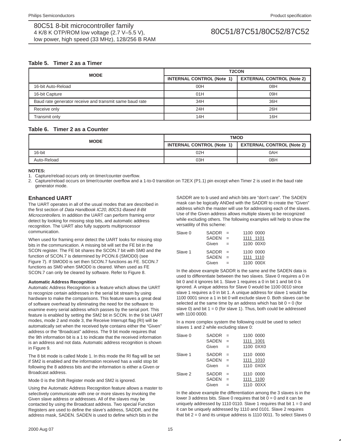# **Table 5. Timer 2 as a Timer**

| <b>MODE</b>                                             |                                  | <b>T2CON</b>                     |  |  |  |  |
|---------------------------------------------------------|----------------------------------|----------------------------------|--|--|--|--|
|                                                         | <b>INTERNAL CONTROL (Note 1)</b> | <b>EXTERNAL CONTROL (Note 2)</b> |  |  |  |  |
| 16-bit Auto-Reload                                      | 00H                              | 08H                              |  |  |  |  |
| 16-bit Capture                                          | 01H                              | 09H                              |  |  |  |  |
| Baud rate generator receive and transmit same baud rate | 34H                              | 36H                              |  |  |  |  |
| Receive only                                            | 24H                              | 26H                              |  |  |  |  |
| Transmit only                                           | 14H                              | 16H                              |  |  |  |  |

### **Table 6. Timer 2 as a Counter**

| <b>MODE</b> | <b>TMOD</b>                      |                                  |  |  |  |
|-------------|----------------------------------|----------------------------------|--|--|--|
|             | <b>INTERNAL CONTROL (Note 1)</b> | <b>EXTERNAL CONTROL (Note 2)</b> |  |  |  |
| 16-bit      | 02H                              | 0AH                              |  |  |  |
| Auto-Reload | 03H                              | 0 <sub>BH</sub>                  |  |  |  |

**NOTES:**

1. Capture/reload occurs only on timer/counter overflow.

2. Capture/reload occurs on timer/counter overflow and a 1-to-0 transition on T2EX (P1.1) pin except when Timer 2 is used in the baud rate generator mode.

# **Enhanced UART**

The UART operates in all of the usual modes that are described in the first section of Data Handbook IC20, 80C51-Based 8-Bit Microcontrollers. In addition the UART can perform framing error detect by looking for missing stop bits, and automatic address recognition. The UART also fully supports multiprocessor communication.

When used for framing error detect the UART looks for missing stop bits in the communication. A missing bit will set the FE bit in the SCON register. The FE bit shares the SCON.7 bit with SM0 and the function of SCON.7 is determined by PCON.6 (SMOD0) (see Figure 7). If SMOD0 is set then SCON.7 functions as FE. SCON.7 functions as SM0 when SMOD0 is cleared. When used as FE SCON.7 can only be cleared by software. Refer to Figure 8.

#### **Automatic Address Recognition**

Automatic Address Recognition is a feature which allows the UART to recognize certain addresses in the serial bit stream by using hardware to make the comparisons. This feature saves a great deal of software overhead by eliminating the need for the software to examine every serial address which passes by the serial port. This feature is enabled by setting the SM2 bit in SCON. In the 9 bit UART modes, mode 2 and mode 3, the Receive Interrupt flag (RI) will be automatically set when the received byte contains either the "Given" address or the "Broadcast" address. The 9 bit mode requires that the 9th information bit is a 1 to indicate that the received information is an address and not data. Automatic address recognition is shown in Figure 9.

The 8 bit mode is called Mode 1. In this mode the RI flag will be set if SM2 is enabled and the information received has a valid stop bit following the 8 address bits and the information is either a Given or Broadcast address.

Mode 0 is the Shift Register mode and SM2 is ignored.

Using the Automatic Address Recognition feature allows a master to selectively communicate with one or more slaves by invoking the Given slave address or addresses. All of the slaves may be contacted by using the Broadcast address. Two special Function Registers are used to define the slave's address, SADDR, and the address mask, SADEN. SADEN is used to define which bits in the

SADDR are to b used and which bits are "don't care". The SADEN mask can be logically ANDed with the SADDR to create the "Given" address which the master will use for addressing each of the slaves. Use of the Given address allows multiple slaves to be recognized while excluding others. The following examples will help to show the versatility of this scheme:

| Slave 0 | $SADDR =$    |     | 1100 0000 |
|---------|--------------|-----|-----------|
|         | <b>SADEN</b> | $=$ | 1111 1101 |
|         | Given        | $=$ | 1100 00X0 |
| Slave 1 | <b>SADDR</b> | $=$ | 1100 0000 |
|         | <b>SADEN</b> | $=$ | 1111 1110 |
|         | Given        |     | 1100 000X |

In the above example SADDR is the same and the SADEN data is used to differentiate between the two slaves. Slave 0 requires a 0 in bit 0 and it ignores bit 1. Slave 1 requires a 0 in bit 1 and bit 0 is ignored. A unique address for Slave 0 would be 1100 0010 since slave 1 requires a 0 in bit 1. A unique address for slave 1 would be 1100 0001 since a 1 in bit 0 will exclude slave 0. Both slaves can be selected at the same time by an address which has bit  $0 = 0$  (for slave 0) and bit  $1 = 0$  (for slave 1). Thus, both could be addressed with 1100 0000.

In a more complex system the following could be used to select slaves 1 and 2 while excluding slave 0:

| Slave 0 | SADDR        | $=$ |      | 1100 0000 |
|---------|--------------|-----|------|-----------|
|         | <b>SADEN</b> | $=$ | 1111 | 1001      |
|         | Given        | $=$ |      | 1100 0XX0 |
| Slave 1 | SADDR        | $=$ |      | 1110 0000 |
|         | <b>SADEN</b> | $=$ |      | 1111 1010 |
|         | Given        | $=$ |      | 1110 0X0X |
| Slave 2 | <b>SADDR</b> | $=$ |      | 1110 0000 |
|         | <b>SADEN</b> | $=$ | 1111 | 1100      |
|         | Given        | $=$ |      | 1110 00XX |
|         |              |     |      |           |

In the above example the differentiation among the 3 slaves is in the lower 3 address bits. Slave 0 requires that bit  $0 = 0$  and it can be uniquely addressed by 1110 0110. Slave 1 requires that bit  $1 = 0$  and it can be uniquely addressed by 1110 and 0101. Slave 2 requires that bit  $2 = 0$  and its unique address is 1110 0011. To select Slaves 0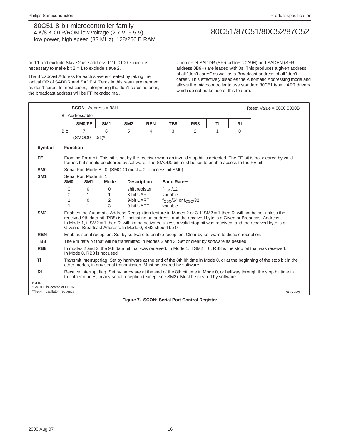and 1 and exclude Slave 2 use address 1110 0100, since it is necessary to make bit  $2 = 1$  to exclude slave 2.

The Broadcast Address for each slave is created by taking the logical OR of SADDR and SADEN. Zeros in this result are trended as don't-cares. In most cases, interpreting the don't-cares as ones, the broadcast address will be FF hexadecimal.

Upon reset SADDR (SFR address 0A9H) and SADEN (SFR address 0B9H) are leaded with 0s. This produces a given address of all "don't cares" as well as a Broadcast address of all "don't cares". This effectively disables the Automatic Addressing mode and allows the microcontroller to use standard 80C51 type UART drivers which do not make use of this feature.

|                                                                          |                 | $SCON$ Address = 98H                                                                                                                                                                                   |                     |                          |                    |                                                    |                 |    |                | Reset Value = $0000 0000B$                                                                                                                                                                                                                                                                                                                                  |
|--------------------------------------------------------------------------|-----------------|--------------------------------------------------------------------------------------------------------------------------------------------------------------------------------------------------------|---------------------|--------------------------|--------------------|----------------------------------------------------|-----------------|----|----------------|-------------------------------------------------------------------------------------------------------------------------------------------------------------------------------------------------------------------------------------------------------------------------------------------------------------------------------------------------------------|
|                                                                          |                 | <b>Bit Addressable</b>                                                                                                                                                                                 |                     |                          |                    |                                                    |                 |    |                |                                                                                                                                                                                                                                                                                                                                                             |
|                                                                          |                 | SM0/FE                                                                                                                                                                                                 | SM <sub>1</sub>     | SM <sub>2</sub>          | <b>REN</b>         | TB8                                                | RB <sub>8</sub> | ΤI | R <sub>l</sub> |                                                                                                                                                                                                                                                                                                                                                             |
|                                                                          | Bit:            | $\overline{7}$                                                                                                                                                                                         | 6                   | 5                        | 4                  | 3                                                  | 2               | 1  | $\Omega$       |                                                                                                                                                                                                                                                                                                                                                             |
|                                                                          |                 | $(SMOD0 = 0/1)^*$                                                                                                                                                                                      |                     |                          |                    |                                                    |                 |    |                |                                                                                                                                                                                                                                                                                                                                                             |
| Symbol                                                                   |                 | <b>Function</b>                                                                                                                                                                                        |                     |                          |                    |                                                    |                 |    |                |                                                                                                                                                                                                                                                                                                                                                             |
| <b>FE</b>                                                                |                 | frames but should be cleared by software. The SMOD0 bit must be set to enable access to the FE bit.                                                                                                    |                     |                          |                    |                                                    |                 |    |                | Framing Error bit. This bit is set by the receiver when an invalid stop bit is detected. The FE bit is not cleared by valid                                                                                                                                                                                                                                 |
| SM <sub>0</sub>                                                          |                 | Serial Port Mode Bit 0, (SMOD0 must = 0 to access bit SM0)                                                                                                                                             |                     |                          |                    |                                                    |                 |    |                |                                                                                                                                                                                                                                                                                                                                                             |
| SM <sub>1</sub>                                                          |                 | Serial Port Mode Bit 1                                                                                                                                                                                 |                     |                          |                    |                                                    |                 |    |                |                                                                                                                                                                                                                                                                                                                                                             |
|                                                                          | SM <sub>0</sub> | SM <sub>1</sub>                                                                                                                                                                                        | Mode                |                          | <b>Description</b> | <b>Baud Rate**</b>                                 |                 |    |                |                                                                                                                                                                                                                                                                                                                                                             |
|                                                                          | $\Omega$        | 0                                                                                                                                                                                                      | 0                   |                          | shift register     | f <sub>OSC</sub> /12                               |                 |    |                |                                                                                                                                                                                                                                                                                                                                                             |
|                                                                          | 0<br>1          | 1<br>$\Omega$                                                                                                                                                                                          | 1<br>$\overline{2}$ | 8-bit UART<br>9-bit UART |                    | variable                                           |                 |    |                |                                                                                                                                                                                                                                                                                                                                                             |
|                                                                          | 1               | 1                                                                                                                                                                                                      | 3                   | 9-bit UART               |                    | $f_{\rm OSC}$ /64 or $f_{\rm OSC}$ /32<br>variable |                 |    |                |                                                                                                                                                                                                                                                                                                                                                             |
| SM <sub>2</sub>                                                          |                 | Given or Broadcast Address. In Mode 0, SM2 should be 0.                                                                                                                                                |                     |                          |                    |                                                    |                 |    |                | Enables the Automatic Address Recognition feature in Modes 2 or 3. If SM2 = 1 then RI will not be set unless the<br>received 9th data bit (RB8) is 1, indicating an address, and the received byte is a Given or Broadcast Address.<br>In Mode 1, if SM2 = 1 then RI will not be activated unless a valid stop bit was received, and the received byte is a |
| <b>REN</b>                                                               |                 | Enables serial reception. Set by software to enable reception. Clear by software to disable reception.                                                                                                 |                     |                          |                    |                                                    |                 |    |                |                                                                                                                                                                                                                                                                                                                                                             |
| TB8                                                                      |                 | The 9th data bit that will be transmitted in Modes 2 and 3. Set or clear by software as desired.                                                                                                       |                     |                          |                    |                                                    |                 |    |                |                                                                                                                                                                                                                                                                                                                                                             |
| RB <sub>8</sub>                                                          |                 | In modes 2 and 3, the 9th data bit that was received. In Mode 1, if $SM2 = 0$ , RB8 is the stop bit that was received.<br>In Mode 0, RB8 is not used.                                                  |                     |                          |                    |                                                    |                 |    |                |                                                                                                                                                                                                                                                                                                                                                             |
| ΤI                                                                       |                 | Transmit interrupt flag. Set by hardware at the end of the 8th bit time in Mode 0, or at the beginning of the stop bit in the<br>other modes, in any serial transmission. Must be cleared by software. |                     |                          |                    |                                                    |                 |    |                |                                                                                                                                                                                                                                                                                                                                                             |
| <b>RI</b>                                                                |                 | the other modes, in any serial reception (except see SM2). Must be cleared by software.                                                                                                                |                     |                          |                    |                                                    |                 |    |                | Receive interrupt flag. Set by hardware at the end of the 8th bit time in Mode 0, or halfway through the stop bit time in                                                                                                                                                                                                                                   |
| NOTE:<br>*SMOD0 is located at PCON6.<br>** $fOSC$ = oscillator frequency |                 |                                                                                                                                                                                                        |                     |                          |                    |                                                    |                 |    |                | SU00043                                                                                                                                                                                                                                                                                                                                                     |

**Figure 7. SCON: Serial Port Control Register**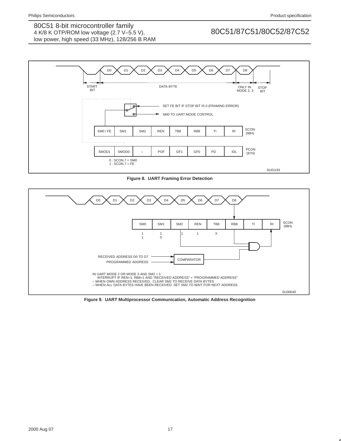

**Figure 8. UART Framing Error Detection**



**Figure 9. UART Multiprocessor Communication, Automatic Address Recognition**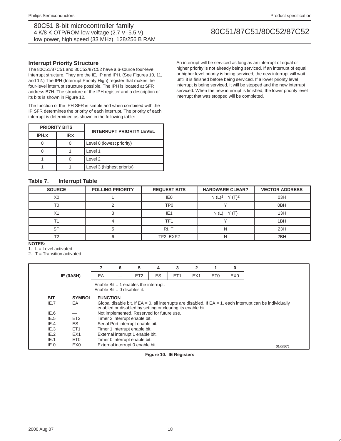### **Interrupt Priority Structure**

The 80C51/87C51 and 80C52/87C52 have a 6-source four-level interrupt structure. They are the IE, IP and IPH. (See Figures 10, 11, and 12.) The IPH (Interrupt Priority High) register that makes the four-level interrupt structure possible. The IPH is located at SFR address B7H. The structure of the IPH register and a description of its bits is shown in Figure 12.

The function of the IPH SFR is simple and when combined with the IP SFR determines the priority of each interrupt. The priority of each interrupt is determined as shown in the following table:

|       | <b>PRIORITY BITS</b> | <b>INTERRUPT PRIORITY LEVEL</b> |
|-------|----------------------|---------------------------------|
| IPH.x | IP.x                 |                                 |
|       |                      | Level 0 (lowest priority)       |
|       |                      | Level 1                         |
|       |                      | Level <sub>2</sub>              |
|       |                      | Level 3 (highest priority)      |

#### An interrupt will be serviced as long as an interrupt of equal or higher priority is not already being serviced. If an interrupt of equal or higher level priority is being serviced, the new interrupt will wait until it is finished before being serviced. If a lower priority level interrupt is being serviced, it will be stopped and the new interrupt serviced. When the new interrupt is finished, the lower priority level interrupt that was stopped will be completed.

# **Table 7. Interrupt Table**

| <b>SOURCE</b>  | <b>POLLING PRIORITY</b> | <b>REQUEST BITS</b> | <b>HARDWARE CLEAR?</b>                      | <b>VECTOR ADDRESS</b> |
|----------------|-------------------------|---------------------|---------------------------------------------|-----------------------|
| X <sub>0</sub> |                         | IE <sub>0</sub>     | N $(L)$ <sup>1</sup><br>$Y(T)$ <sup>2</sup> | 03H                   |
| T <sub>0</sub> |                         | TP <sub>0</sub>     |                                             | 0 <sub>BH</sub>       |
| $\vee$<br>∧∣   |                         | IE <sub>1</sub>     | N(L)<br>Y(T)                                | 13H                   |
|                |                         | TF1                 |                                             | 1BH                   |
| SP             |                         | RI, TI              |                                             | 23H                   |
| エっ             |                         | TF2, EXF2           |                                             | 2BH                   |

**NOTES:**

1.  $L =$  Level activated

2. T = Transition activated

|            |                  |                 | 6                                                                      | 5               | 4                                         | 3                                                          | 2               |                 | $\bf{0}$        |                                                                                                                 |
|------------|------------------|-----------------|------------------------------------------------------------------------|-----------------|-------------------------------------------|------------------------------------------------------------|-----------------|-----------------|-----------------|-----------------------------------------------------------------------------------------------------------------|
|            | <b>IE (0A8H)</b> | EA              |                                                                        | ET <sub>2</sub> | ES                                        | ET <sub>1</sub>                                            | EX <sub>1</sub> | ET <sub>0</sub> | EX <sub>0</sub> |                                                                                                                 |
|            |                  |                 | Enable Bit $=$ 1 enables the interrupt.<br>Enable Bit = 0 disables it. |                 |                                           |                                                            |                 |                 |                 |                                                                                                                 |
| <b>BIT</b> | <b>SYMBOL</b>    | <b>FUNCTION</b> |                                                                        |                 |                                           |                                                            |                 |                 |                 |                                                                                                                 |
| IE.7       | EA               |                 |                                                                        |                 |                                           |                                                            |                 |                 |                 | Global disable bit. If $EA = 0$ , all interrupts are disabled. If $EA = 1$ , each interrupt can be individually |
|            |                  |                 |                                                                        |                 |                                           | enabled or disabled by setting or clearing its enable bit. |                 |                 |                 |                                                                                                                 |
| IE.6       |                  |                 |                                                                        |                 | Not implemented. Reserved for future use. |                                                            |                 |                 |                 |                                                                                                                 |
| IE.5       | ET <sub>2</sub>  |                 | Timer 2 interrupt enable bit.                                          |                 |                                           |                                                            |                 |                 |                 |                                                                                                                 |
| IE.4       | ES               |                 | Serial Port interrupt enable bit.                                      |                 |                                           |                                                            |                 |                 |                 |                                                                                                                 |
| IE.3       | ET <sub>1</sub>  |                 | Timer 1 interrupt enable bit.                                          |                 |                                           |                                                            |                 |                 |                 |                                                                                                                 |
| IE.2       | EX <sub>1</sub>  |                 | External interrupt 1 enable bit.                                       |                 |                                           |                                                            |                 |                 |                 |                                                                                                                 |
| IE.1       | ET <sub>0</sub>  |                 | Timer 0 interrupt enable bit.                                          |                 |                                           |                                                            |                 |                 |                 |                                                                                                                 |
| IE.0       | EX <sub>0</sub>  |                 | External interrupt 0 enable bit.<br>SU00571                            |                 |                                           |                                                            |                 |                 |                 |                                                                                                                 |

**Figure 10. IE Registers**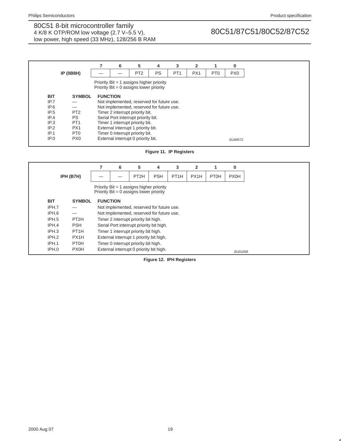|            |                  |                                                                                         | 6                                  | 5                                         | 4         | 3               | 2               |                 | 0               |
|------------|------------------|-----------------------------------------------------------------------------------------|------------------------------------|-------------------------------------------|-----------|-----------------|-----------------|-----------------|-----------------|
|            | <b>IP (0B8H)</b> |                                                                                         |                                    | PT <sub>2</sub>                           | <b>PS</b> | PT <sub>1</sub> | PX <sub>1</sub> | PT <sub>0</sub> | PX <sub>0</sub> |
|            |                  | Priority $Bit = 1$ assigns higher priority<br>Priority $Bit = 0$ assigns lower priority |                                    |                                           |           |                 |                 |                 |                 |
| <b>BIT</b> | <b>SYMBOL</b>    | <b>FUNCTION</b>                                                                         |                                    |                                           |           |                 |                 |                 |                 |
| IP.7       |                  |                                                                                         |                                    | Not implemented, reserved for future use. |           |                 |                 |                 |                 |
| IP.6       |                  |                                                                                         |                                    | Not implemented, reserved for future use. |           |                 |                 |                 |                 |
| IP.5       | PT <sub>2</sub>  |                                                                                         |                                    | Timer 2 interrupt priority bit.           |           |                 |                 |                 |                 |
| IP.4       | <b>PS</b>        |                                                                                         |                                    | Serial Port interrupt priority bit.       |           |                 |                 |                 |                 |
| IP.3       | PT <sub>1</sub>  |                                                                                         |                                    | Timer 1 interrupt priority bit.           |           |                 |                 |                 |                 |
| IP.2       | PX <sub>1</sub>  |                                                                                         | External interrupt 1 priority bit. |                                           |           |                 |                 |                 |                 |
| IP.1       | PT <sub>0</sub>  |                                                                                         |                                    | Timer 0 interrupt priority bit.           |           |                 |                 |                 |                 |
| IP.0       | PX <sub>0</sub>  |                                                                                         |                                    | External interrupt 0 priority bit.        |           |                 |                 |                 | SU00572         |

### **Figure 11. IP Registers**

|            |                   |                 | 6                                       | 5                                                                                       | 4          | 3                 | $\overline{2}$ |             | $\bf{0}$    |
|------------|-------------------|-----------------|-----------------------------------------|-----------------------------------------------------------------------------------------|------------|-------------------|----------------|-------------|-------------|
|            | IPH (B7H)         |                 |                                         | PT <sub>2</sub> H                                                                       | <b>PSH</b> | PT <sub>1</sub> H | PX1H           | <b>PT0H</b> | <b>PX0H</b> |
|            |                   |                 |                                         | Priority $Bit = 1$ assigns higher priority<br>Priority $Bit = 0$ assigns lower priority |            |                   |                |             |             |
| <b>BIT</b> | <b>SYMBOL</b>     | <b>FUNCTION</b> |                                         |                                                                                         |            |                   |                |             |             |
| IPH.7      |                   |                 |                                         | Not implemented, reserved for future use.                                               |            |                   |                |             |             |
| IPH.6      |                   |                 |                                         | Not implemented, reserved for future use.                                               |            |                   |                |             |             |
| IPH.5      | PT <sub>2</sub> H |                 |                                         | Timer 2 interrupt priority bit high.                                                    |            |                   |                |             |             |
| IPH.4      | <b>PSH</b>        |                 |                                         | Serial Port interrupt priority bit high.                                                |            |                   |                |             |             |
| IPH.3      | PT <sub>1</sub> H |                 |                                         | Timer 1 interrupt priority bit high.                                                    |            |                   |                |             |             |
| IPH.2      | PX1H              |                 | External interrupt 1 priority bit high. |                                                                                         |            |                   |                |             |             |
| IPH.1      | <b>PT0H</b>       |                 | Timer 0 interrupt priority bit high.    |                                                                                         |            |                   |                |             |             |
| IPH.0      | <b>PX0H</b>       |                 |                                         | External interrupt 0 priority bit high.                                                 |            |                   |                |             | SU01058     |

**Figure 12. IPH Registers**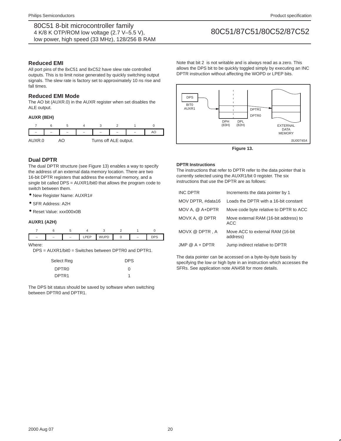### **Reduced EMI**

All port pins of the 8xC51 and 8xC52 have slew rate controlled outputs. This is to limit noise generated by quickly switching output signals. The slew rate is factory set to approximately 10 ns rise and fall times.

## **Reduced EMI Mode**

The AO bit (AUXR.0) in the AUXR register when set disables the ALE output.

### **AUXR (8EH)**



# **Dual DPTR**

The dual DPTR structure (see Figure 13) enables a way to specify the address of an external data memory location. There are two 16-bit DPTR registers that address the external memory, and a single bit called DPS = AUXR1/bit0 that allows the program code to switch between them.

• New Register Name: AUXR1#

- SFR Address: A2H
- Reset Value: xxx000x0B

#### **AUXR1 (A2H)**

| $\overline{\phantom{0}}$ |  |  | - |  |
|--------------------------|--|--|---|--|

Where:

DPS = AUXR1/bit0 = Switches between DPTR0 and DPTR1.

| Select Reg        | <b>DPS</b> |
|-------------------|------------|
| DPTR <sub>0</sub> | O          |
| DPTR <sub>1</sub> | 1          |

The DPS bit status should be saved by software when switching between DPTR0 and DPTR1.

Note that bit 2 is not writable and is always read as a zero. This allows the DPS bit to be quickly toggled simply by executing an INC DPTR instruction without affecting the WOPD or LPEP bits.



**Figure 13.** 

#### **DPTR Instructions**

The instructions that refer to DPTR refer to the data pointer that is currently selected using the AUXR1/bit 0 register. The six instructions that use the DPTR are as follows:

| <b>INC DPTR</b>   | Increments the data pointer by 1                    |
|-------------------|-----------------------------------------------------|
| MOV DPTR, #data16 | Loads the DPTR with a 16-bit constant               |
| $MOV A. @ A+DPTR$ | Move code byte relative to DPTR to ACC              |
| MOVX A. @ DPTR    | Move external RAM (16-bit address) to<br><b>ACC</b> |
| MOVX @ DPTR, A    | Move ACC to external RAM (16-bit)<br>address)       |
| $JMP @ A + DPTR$  | Jump indirect relative to DPTR                      |

The data pointer can be accessed on a byte-by-byte basis by specifying the low or high byte in an instruction which accesses the SFRs. See application note AN458 for more details.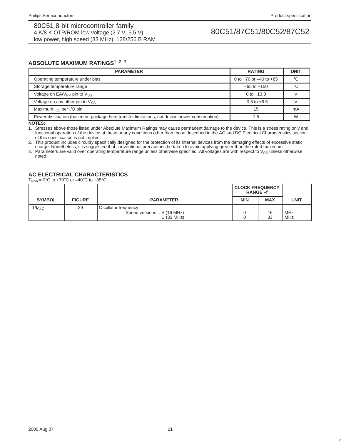### **ABSOLUTE MAXIMUM RATINGS**1, 2, <sup>3</sup>

| <b>PARAMETER</b>                                                                               | <b>RATING</b>                | <b>UNIT</b> |
|------------------------------------------------------------------------------------------------|------------------------------|-------------|
| Operating temperature under bias                                                               | 0 to $+70$ or $-40$ to $+85$ | °C          |
| Storage temperature range                                                                      | $-65$ to $+150$              | $\circ$     |
| Voltage on $\overline{\mathsf{EA}}/\mathsf{V}_{\mathsf{PP}}$ pin to $\mathsf{V}_{\mathsf{SS}}$ | 0 to $+13.0$                 |             |
| Voltage on any other pin to $V_{SS}$                                                           | $-0.5$ to $+6.5$             |             |
| Maximum $I_{\Omega}$ per I/O pin                                                               | 15                           | mA          |
| Power dissipation (based on package heat transfer limitations, not device power consumption)   | 1.5                          | W           |

**NOTES:**

1. Stresses above those listed under Absolute Maximum Ratings may cause permanent damage to the device. This is a stress rating only and functional operation of the device at these or any conditions other than those described in the AC and DC Electrical Characteristics section of this specification is not implied.

2. This product includes circuitry specifically designed for the protection of its internal devices from the damaging effects of excessive static charge. Nonetheless, it is suggested that conventional precautions be taken to avoid applying greater than the rated maximum.

3. Parameters are valid over operating temperature range unless otherwise specified. All voltages are with respect to  $\vee_{SS}$  unless otherwise noted.

# **AC ELECTRICAL CHARACTERISTICS**

 $T_{amb} = 0$ °C to +70°C or -40°C to +85°C

|               |               |                                                                    | <b>CLOCK FREQUENCY</b><br>RANGE-f |            |                |
|---------------|---------------|--------------------------------------------------------------------|-----------------------------------|------------|----------------|
| <b>SYMBOL</b> | <b>FIGURE</b> | <b>PARAMETER</b>                                                   | <b>MIN</b>                        | <b>MAX</b> | <b>UNIT</b>    |
| $1/t_{CLCL}$  | 29            | Oscillator frequency<br>Speed versions: S (16 MHz)<br>$U$ (33 MHz) |                                   | 16<br>33   | l MHz<br>l MHz |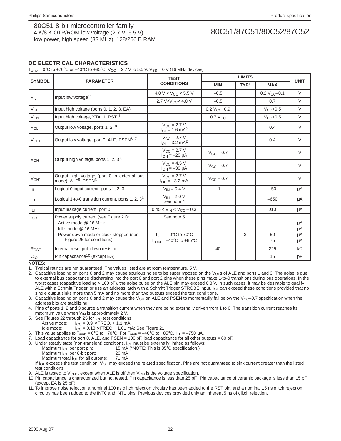# **DC ELECTRICAL CHARACTERISTICS**

 $T_{amb}$  = 0°C to +70°C or –40°C to +85°C, V<sub>CC</sub> = 2.7 V to 5.5 V, V<sub>SS</sub> = 0 V (16 MHz devices)

|                  |                                                                                                                                                           | <b>TEST</b>                                                                          |                     |                  |               |                      |
|------------------|-----------------------------------------------------------------------------------------------------------------------------------------------------------|--------------------------------------------------------------------------------------|---------------------|------------------|---------------|----------------------|
| <b>SYMBOL</b>    | <b>PARAMETER</b>                                                                                                                                          | <b>CONDITIONS</b>                                                                    | <b>MIN</b>          | TYP <sup>1</sup> | <b>MAX</b>    | <b>UNIT</b>          |
|                  |                                                                                                                                                           | 4.0 V < $V_{CC}$ < 5.5 V                                                             | $-0.5$              |                  | $0.2 VCC-0.1$ | $\vee$               |
| $V_{IL}$         | Input low voltage <sup>11</sup>                                                                                                                           | 2.7 V <v<sub>CC&lt;4.0 V</v<sub>                                                     | $-0.5$              |                  | 0.7           | $\vee$               |
| V <sub>IH</sub>  | Input high voltage (ports $0, 1, 2, 3, \overline{EA}$ )                                                                                                   |                                                                                      | $0.2 V_{CC} + 0.9$  |                  | $V_{CC}$ +0.5 | $\vee$               |
| V <sub>IH1</sub> | Input high voltage, XTAL1, RST <sup>11</sup>                                                                                                              |                                                                                      | 0.7 V <sub>CC</sub> |                  | $V_{CC}$ +0.5 | $\vee$               |
| $V_{OL}$         | Output low voltage, ports 1, 2, 8                                                                                                                         | $V_{\rm CC} = 2.7 V$<br>$I_{OL} = 1.6$ mA <sup>2</sup>                               |                     |                  | 0.4           | $\vee$               |
| V <sub>OL1</sub> | Output low voltage, port 0, ALE, PSEN <sup>8, 7</sup>                                                                                                     | $V_{CC} = 2.7 V$<br>$I_{OL} = 3.2 \text{ mA}^2$                                      |                     |                  | 0.4           | $\vee$               |
| V <sub>OH</sub>  |                                                                                                                                                           | $V_{CC} = 2.7 V$<br>$I_{OH} = -20 \mu A$                                             | $V_{CC}$ – 0.7      |                  |               | $\vee$               |
|                  | Output high voltage, ports 1, 2, 3 <sup>3</sup>                                                                                                           | $V_{CC}$ = 4.5 V<br>$I_{OH} = -30 \mu A$                                             | $V_{\rm CC}$ – 0.7  |                  |               | $\vee$               |
| V <sub>OH1</sub> | Output high voltage (port 0 in external bus<br>mode), ALE <sup>9</sup> , PSEN <sup>3</sup>                                                                | $V_{CC} = 2.7 V$<br>$I_{OH} = -3.2$ mA                                               | $V_{CC}$ - 0.7      |                  |               | $\vee$               |
| $I_{\rm IL}$     | Logical 0 input current, ports 1, 2, 3                                                                                                                    | $V_{IN} = 0.4 V$                                                                     | $-1$                |                  | $-50$         | μA                   |
| $I_{TL}$         | Logical 1-to-0 transition current, ports 1, 2, 3 <sup>6</sup>                                                                                             | $V_{IN} = 2.0 V$<br>See note 4                                                       |                     |                  | $-650$        | μA                   |
| $I_{LI}$         | Input leakage current, port 0                                                                                                                             | $0.45 < V_{IN} < V_{CC} - 0.3$                                                       |                     |                  | ±10           | μA                   |
| $I_{\rm CC}$     | Power supply current (see Figure 21):<br>Active mode @ 16 MHz<br>Idle mode @ 16 MHz<br>Power-down mode or clock stopped (see<br>Figure 25 for conditions) | See note 5<br>$T_{amb} = 0$ °C to 70°C<br>$T_{amb} = -40^{\circ}C$ to $+85^{\circ}C$ |                     | 3                | 50<br>75      | μA<br>μA<br>μA<br>μA |
| $R_{\text{RST}}$ | Internal reset pull-down resistor                                                                                                                         |                                                                                      | 40                  |                  | 225           | $k\Omega$            |
| $C_{10}$         | Pin capacitance <sup>10</sup> (except EA)                                                                                                                 |                                                                                      |                     |                  | 15            | pF                   |

**NOTES:**

1. Typical ratings are not guaranteed. The values listed are at room temperature, 5 V.

2. Capacitive loading on ports 0 and 2 may cause spurious noise to be superimposed on the V<sub>OL</sub>s of ALE and ports 1 and 3. The noise is due to external bus capacitance discharging into the port 0 and port 2 pins when these pins make 1-to-0 transitions during bus operations. In the worst cases (capacitive loading > 100 pF), the noise pulse on the ALE pin may exceed 0.8 V. In such cases, it may be desirable to qualify ALE with a Schmitt Trigger, or use an address latch with a Schmitt Trigger STROBE input. I<sub>OL</sub> can exceed these conditions provided that no single output sinks more than 5 mA and no more than two outputs exceed the test conditions.

3. Capacitive loading on ports 0 and 2 may cause the V<sub>OH</sub> on ALE and PSEN to momentarily fall below the V<sub>CC</sub>–0.7 specification when the address bits are stabilizing.

4. Pins of ports 1, 2 and 3 source a transition current when they are being externally driven from 1 to 0. The transition current reaches its maximum value when  $V_{IN}$  is approximately 2 V.

5. See Figures 22 through 25 for  $I_{CC}$  test conditions.<br>Active mode:  $I_{CC} = 0.9 \times \text{FREG.} + 1.1 \text{ mA}$ 

 $I_{CC} = 0.9 \times \text{F}$ REQ. + 1.1 mA

Idle mode:  $I_{CC} = 0.18 \times \text{FREQ. +1.01 mA}$ ; See Figure 21.

6. This value applies to T<sub>amb</sub> = 0°C to +70°C. For T<sub>amb</sub> =  $-40^{\circ}$ C to +85°C, I<sub>TL</sub> =  $-750$  µA.

7. Load capacitance for port 0, ALE, and  $\overline{PSEN} = 100$  pF, load capacitance for all other outputs = 80 pF.

8. Under steady state (non-transient) conditions,  $I_{OL}$  must be externally limited as follows:<br>Maximum  $I_{OL}$  per port pin:  $15 \text{ mA}$  (\*NOTE: This is 85°C specification.)

15 mA (\*NOTE: This is 85 $^{\circ}$ C specification.)<br>26 mA

- 
- Maximum  $I_{OL}$  per 8-bit port: 26 mA<br>Maximum total  $I_{OL}$  for all outputs: 71 mA Maximum total  $I_{OL}$  for all outputs:

If I<sub>OL</sub> exceeds the test condition, V<sub>OL</sub> may exceed the related specification. Pins are not guaranteed to sink current greater than the listed test conditions.

9. ALE is tested to  $V_{OH1}$ , except when ALE is off then  $V_{OH}$  is the voltage specification.

10.Pin capacitance is characterized but not tested. Pin capacitance is less than 25 pF. Pin capacitance of ceramic package is less than 15 pF (except  $\overline{EA}$  is 25 pF).

11. To improve noise rejection a nominal 100 ns glitch rejection circuitry has been added to the RST pin, and a nominal 15 ns glitch rejection circuitry has been added to the INT0 and INT1 pins. Previous devices provided only an inherent 5 ns of glitch rejection.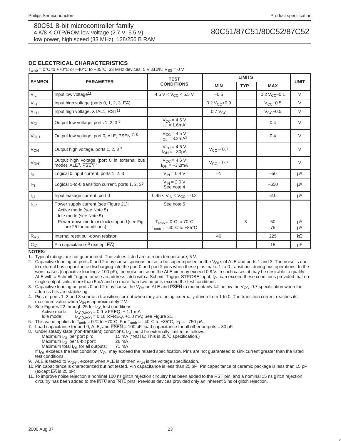# **DC ELECTRICAL CHARACTERISTICS**

 $T_{\text{amb}} = 0^{\circ}\text{C}$  to +70°C or -40°C to +85°C, 33 MHz devices; 5 V ±10%; V<sub>SS</sub> = 0 V

|                  |                                                                                             | <b>TEST</b>                                                    |                       |                                |                    |             |
|------------------|---------------------------------------------------------------------------------------------|----------------------------------------------------------------|-----------------------|--------------------------------|--------------------|-------------|
| <b>SYMBOL</b>    | <b>PARAMETER</b>                                                                            | <b>CONDITIONS</b>                                              | <b>MIN</b>            | TYP <sup>1</sup><br><b>MAX</b> |                    | <b>UNIT</b> |
| $V_{IL}$         | Input low voltage <sup>11</sup>                                                             | 4.5 V < $V_{CC}$ < 5.5 V                                       | $-0.5$                |                                | $0.2 V_{CC} - 0.1$ | $\vee$      |
| $V_{\text{IH}}$  | Input high voltage (ports $0, 1, 2, 3, \overline{EA}$ )                                     |                                                                | $0.2 V_{CC} + 0.9$    |                                | $V_{CC}+0.5$       | $\vee$      |
| V <sub>IH1</sub> | Input high voltage, XTAL1, RST <sup>11</sup>                                                |                                                                | $0.7 V_{CC}$          |                                | $V_{CC} + 0.5$     | $\vee$      |
| $V_{OL}$         | Output low voltage, ports 1, 2, 3 8                                                         | $V_{\text{CC}} = 4.5 V$<br>$I_{OL} = 1.6 \text{mA}^2$          |                       |                                | 0.4                | $\vee$      |
| V <sub>OL1</sub> | Output low voltage, port 0, ALE, PSEN 7, 8                                                  | $V_{CC} = 4.5 V$<br>$I_{OL} = 3.2 \text{mA}^2$                 |                       |                                | 0.4                | $\vee$      |
| $V_{OH}$         | Output high voltage, ports 1, 2, 3 3                                                        | $V_{\text{CC}} = 4.5 V$<br>$I_{OH} = -30 \mu A$                | $V_{\text{CC}}$ – 0.7 |                                |                    | $\vee$      |
| V <sub>OH1</sub> | Output high voltage (port 0 in external bus<br>mode). ALE <sup>9</sup> , PSEN <sup>3</sup>  | $V_{C} = 4.5 V$<br>$I_{OH} = -3.2mA$                           | $V_{\text{CC}}$ – 0.7 |                                |                    | $\vee$      |
| $I_{\rm IL}$     | Logical 0 input current, ports 1, 2, 3                                                      | $V_{IN} = 0.4 V$                                               | $-1$                  |                                | $-50$              | μA          |
| $I_{TL}$         | Logical 1-to-0 transition current, ports 1, 2, $36$                                         | $V_{IN} = 2.0 V$<br>See note 4                                 |                       |                                | $-650$             | μA          |
| ĪЦ               | Input leakage current, port 0                                                               | $0.45 < V_{IN} < V_{CC} - 0.3$                                 |                       |                                | ±10                | μA          |
| $I_{\rm CC}$     | Power supply current (see Figure 21):<br>Active mode (see Note 5)<br>Idle mode (see Note 5) | See note 5                                                     |                       |                                |                    |             |
|                  | Power-down mode or clock stopped (see Fig-<br>ure 25 for conditions)                        | $T_{amb} = 0$ °C to 70°C<br>$T_{amb} = -40^{\circ}$ C to +85°C |                       | 3                              | 50<br>75           | μA<br>μA    |
| $R_{RST}$        | Internal reset pull-down resistor                                                           |                                                                | 40                    |                                | 225                | $k\Omega$   |
| $C_{IO}$         | Pin capacitance <sup>10</sup> (except EA)                                                   |                                                                |                       |                                | 15                 | pF          |

**NOTES:**

1. Typical ratings are not guaranteed. The values listed are at room temperature, 5 V.

2. Capacitive loading on ports 0 and 2 may cause spurious noise to be superimposed on the V<sub>OL</sub>s of ALE and ports 1 and 3. The noise is due to external bus capacitance discharging into the port 0 and port 2 pins when these pins make 1-to-0 transitions during bus operations. In the worst cases (capacitive loading > 100 pF), the noise pulse on the ALE pin may exceed 0.8 V. In such cases, it may be desirable to qualify ALE with a Schmitt Trigger, or use an address latch with a Schmitt Trigger STROBE input. I<sub>OL</sub> can exceed these conditions provided that no single output sinks more than 5mA and no more than two outputs exceed the test conditions.

3. Capacitive loading on ports 0 and 2 may cause the V<sub>OH</sub> on ALE and PSEN to momentarily fall below the V<sub>CC</sub>–0.7 specification when the address bits are stabilizing.

4. Pins of ports 1, 2 and 3 source a transition current when they are being externally driven from 1 to 0. The transition current reaches its maximum value when  $V_{IN}$  is approximately 2 V.

- 5. See Figures 22 through 25 for  $I_{CC}$  test conditions.<br>Active mode:  $I_{CC(MAX)} = 0.9 \times FREG. + 1.1$ 
	- $ICC(MAX) = 0.9 \times FREG. + 1.1 mA$

Idle mode:  $I_{CC(MAX)} = 0.18 \times \text{FREQ.} + 1.0 \text{ mA}$ ; See Figure 21.

- 6. This value applies to  $\overline{T_{amb}} = 0^{\circ}C$  to +70°C. For  $T_{amb} = -40^{\circ}C$  to +85°C,  $I_{TL} = -750 \mu A$ .
- 7. Load capacitance for port 0, ALE, and PSEN = 100 pF, load capacitance for all other outputs = 80 pF.
- 
- 8. Under steady state (non-transient) conditions,  $I_{OL}$  must be externally limited as follows:<br>Maximum  $I_{OL}$  per port pin: 15 mA (\*NOTE: This is 85°C specification.) 15 mA (\*NOTE: This is  $85^{\circ}$ C specification.)<br>26 mA
	- Maximum  $I_{OL}$  per 8-bit port: 26 mA<br>Maximum total  $I_{OL}$  for all outputs: 71 mA
	- Maximum total  $I_{OL}$  for all outputs:

If I<sub>OL</sub> exceeds the test condition, V<sub>OL</sub> may exceed the related specification. Pins are not guaranteed to sink current greater than the listed test conditions.

- 
- 9. ALE is tested to V<sub>OH1</sub>, except when ALE is off then V<sub>OH</sub> is the voltage specification.<br>10. Pin capacitance is characterized but not tested. Pin capacitance is less than 25 pF. Pin capacitance of ceramic package is les (except  $\overline{EA}$  is 25 pF).
- 11. To improve noise rejection a nominal 100 ns glitch rejection circuitry has been added to the RST pin, and a nominal 15 ns glitch rejection circuitry has been added to the INT0 and INT1 pins. Previous devices provided only an inherent 5 ns of glitch rejection.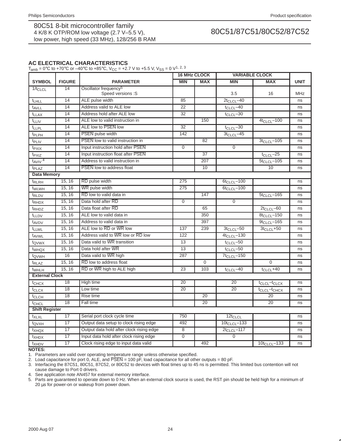# **AC ELECTRICAL CHARACTERISTICS**

T<sub>amb</sub> = 0°C to +70°C or –40°C to +85°C,  $V_{CC}$  = +2.7 V to +5.5 V,  $V_{SS}$  = 0 V<sup>1, 2, 3</sup>

|                         |               |                                                         |                  | <b>16 MHz CLOCK</b> | <b>VARIABLE CLOCK</b> |                         |             |
|-------------------------|---------------|---------------------------------------------------------|------------------|---------------------|-----------------------|-------------------------|-------------|
| <b>SYMBOL</b>           | <b>FIGURE</b> | <b>PARAMETER</b>                                        | <b>MIN</b>       | <b>MAX</b>          | <b>MIN</b>            | <b>MAX</b>              | <b>UNIT</b> |
| $1/t_{CLCL}$            | 14            | Oscillator frequency <sup>5</sup><br>Speed versions : S |                  |                     | 3.5                   | 16                      | <b>MHz</b>  |
| $t_{LHLL}$              | 14            | ALE pulse width                                         | 85               |                     | $2t_{CLCL} - 40$      |                         | ns          |
| t <sub>AVLL</sub>       | 14            | Address valid to ALE low                                | $\overline{22}$  |                     | $t_{CLCL}$ -40        |                         | ns          |
| <b>t</b> LLAX           | 14            | Address hold after ALE low                              | 32               |                     | $t_{CLCL}$ -30        |                         | ns          |
| t <sub>LLIV</sub>       | 14            | ALE low to valid instruction in                         |                  | 150                 |                       | $4t_{CLCL} - 100$       | ns          |
| <b>t</b> LLPL           | 14            | ALE low to PSEN low                                     | 32               |                     | $t_{CLCL}$ -30        |                         | ns          |
| t <sub>PLPH</sub>       | 14            | <b>PSEN</b> pulse width                                 | 142              |                     | $3t_{CLCL} - 45$      |                         | ns          |
| t <sub>PLIV</sub>       | 14            | PSEN low to valid instruction in                        |                  | 82                  |                       | $3t_{CLCL} - 105$       | ns          |
| t <sub>PXIX</sub>       | 14            | Input instruction hold after PSEN                       | $\overline{0}$   |                     | $\overline{0}$        |                         | ns          |
| t <sub>PXIZ</sub>       | 14            | Input instruction float after PSEN                      |                  | 37                  |                       | $t_{CLCL}$ -25          | ns          |
| $t_{AVIV}$ <sup>4</sup> | 14            | Address to valid instruction in                         |                  | 207                 |                       | $5t_{CLCL} - 105$       | ns          |
| t <sub>PLAZ</sub>       | 14            | <b>PSEN</b> low to address float                        |                  | 10                  |                       | 10                      | ns          |
| <b>Data Memory</b>      |               |                                                         |                  |                     |                       |                         |             |
| <sup>t</sup> RLRH       | 15, 16        | RD pulse width                                          | 275              |                     | $6t_{CLCL} - 100$     |                         | ns          |
| t <sub>WLWH</sub>       | 15, 16        | WR pulse width                                          | 275              |                     | $6t_{CLCL} - 100$     |                         | ns          |
| t <sub>RLDV</sub>       | 15, 16        | RD low to valid data in                                 |                  | 147                 |                       | $5t_{CLCL} - 165$       | ns          |
| t <sub>RHDX</sub>       | 15, 16        | Data hold after RD                                      | $\mathbf{0}$     |                     | $\Omega$              |                         | ns          |
| t <sub>RHDZ</sub>       | 15, 16        | Data float after RD                                     |                  | 65                  |                       | $2t_{CLCL} - 60$        | ns          |
| t <sub>LLDV</sub>       | 15, 16        | ALE low to valid data in                                |                  | 350                 |                       | $8t_{CLCL} - 150$       | ns          |
| t <sub>AVDV</sub>       | 15, 16        | Address to valid data in                                |                  | 397                 |                       | $9t_{CLCL} - 165$       | ns          |
| t <sub>LLWL</sub>       | 15, 16        | ALE low to RD or WR low                                 | 137              | 239                 | $3t_{CLCL} - 50$      | $3t_{CLCL} + 50$        | ns          |
| t <sub>AVWL</sub>       | 15, 16        | Address valid to WR low or RD low                       | $\overline{122}$ |                     | $4t_{CLCL} - 130$     |                         | ns          |
| t <sub>QVWX</sub>       | 15, 16        | Data valid to WR transition                             | 13               |                     | $t_{CLCL}$ -50        |                         | ns          |
| t <sub>WHQX</sub>       | 15, 16        | Data hold after WR                                      | $\overline{13}$  |                     | $t_{CLCL}$ -50        |                         | ns          |
| t <sub>QVWH</sub>       | 16            | Data valid to WR high                                   | 287              |                     | $7t_{CLCL} - 150$     |                         | ns          |
| $t_{RLAZ}$              | 15, 16        | RD low to address float                                 |                  | $\overline{0}$      |                       | $\overline{0}$          | ns          |
| t <sub>WHLH</sub>       | 15, 16        | RD or WR high to ALE high                               | 23               | 103                 | $t_{CLCL}$ -40        | $t_{CLCL} + 40$         | ns          |
| <b>External Clock</b>   |               |                                                         |                  |                     |                       |                         |             |
| $t$ CHCX                | 18            | High time                                               | 20               |                     | 20                    | $t_{CLCL}$ - $t_{CLCX}$ | ns          |
| $t_{CLCX}$              | 18            | Low time                                                | 20               |                     | 20                    | $t_{CLCL}$ - $t_{CHCX}$ | ns          |
| t <sub>CLCH</sub>       | 18            | Rise time                                               |                  | 20                  |                       | 20                      | ns          |
| t <sub>CHCL</sub>       | 18            | Fall time                                               |                  | 20                  |                       | 20                      | ns          |
| <b>Shift Register</b>   |               |                                                         |                  |                     |                       |                         |             |
| txLxL                   | 17            | Serial port clock cycle time                            | 750              |                     | $12t_{CLCL}$          |                         | ns          |
| t <sub>QVXH</sub>       | 17            | Output data setup to clock rising edge                  | 492              |                     | $10t_{CLCL} - 133$    |                         | ns          |
| txHQX                   | 17            | Output data hold after clock rising edge                | $\bf 8$          |                     | $2t_{CLCL} - 117$     |                         | ns          |
| txhdx                   | 17            | Input data hold after clock rising edge                 | $\mathbf 0$      |                     | $\overline{0}$        |                         | ns          |
| txHDV                   | 17            | Clock rising edge to input data valid                   |                  | 492                 |                       | $10t_{CLCL} - 133$      | ns          |

**NOTES:**

1. Parameters are valid over operating temperature range unless otherwise specified.

2. Load capacitance for port 0, ALE, and PSEN = 100 pF, load capacitance for all other outputs = 80 pF.

3. Interfacing the 87C51, 80C51, 87C52, or 80C52 to devices with float times up to 45 ns is permitted. This limited bus contention will not cause damage to Port 0 drivers.

4. See application note AN457 for external memory interface.

5. Parts are guaranteed to operate down to 0 Hz. When an external clock source is used, the RST pin should be held high for a minimum of 20 µs for power-on or wakeup from power down.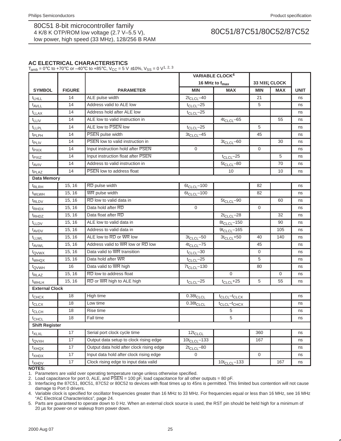# **AC ELECTRICAL CHARACTERISTICS**

T<sub>amb</sub> = 0°C to +70°C or -40°C to +85°C,  $V_{CC}$  = 5 V ±10%,  $V_{SS}$  = 0 V<sup>1, 2, 3</sup>

|                       |               |                                          |                    | <b>VARIABLE CLOCK4</b>               |                  |                          |             |
|-----------------------|---------------|------------------------------------------|--------------------|--------------------------------------|------------------|--------------------------|-------------|
|                       |               |                                          |                    | 16 MHz to f <sub>max</sub>           |                  | 33 MH <sub>2</sub> CLOCK |             |
| <b>SYMBOL</b>         | <b>FIGURE</b> | <b>PARAMETER</b>                         | <b>MIN</b>         | <b>MAX</b>                           | <b>MIN</b>       | <b>MAX</b>               | <b>UNIT</b> |
| <b>t</b> LHLL         | 14            | ALE pulse width                          | $2t_{CLCL} - 40$   |                                      | 21               |                          | ns          |
| t <sub>AVLL</sub>     | 14            | Address valid to ALE low                 | $t_{CLCL}$ -25     |                                      | 5                |                          | ns          |
| $t_{LLAX}$            | 14            | Address hold after ALE low               | $t_{CLCL}$ -25     |                                      |                  |                          | ns          |
| $t_{LLIV}$            | 14            | ALE low to valid instruction in          |                    | $4t_{CLCL} - 65$                     |                  | 55                       | ns          |
| t <sub>LLPL</sub>     | 14            | ALE low to PSEN low                      | $t_{CLCL}$ -25     |                                      | 5                |                          | ns          |
| t <sub>PLPH</sub>     | 14            | PSEN pulse width                         | $3t_{CLCL} - 45$   |                                      | 45               |                          | ns          |
| t <sub>PLIV</sub>     | 14            | PSEN low to valid instruction in         |                    | $3t_{CLCL} - 60$                     |                  | 30                       | ns          |
| t <sub>PXIX</sub>     | 14            | Input instruction hold after PSEN        | $\mathbf 0$        |                                      | 0                |                          | ns          |
| t <sub>PXIZ</sub>     | 14            | Input instruction float after PSEN       |                    | $t_{CLCL}$ -25                       |                  | 5                        | ns          |
| t <sub>AVIV</sub>     | 14            | Address to valid instruction in          |                    | $5t_{CLCL} - 80$                     |                  | 70                       | ns          |
| t <sub>PLAZ</sub>     | 14            | PSEN low to address float                |                    | 10                                   |                  | 10                       | ns          |
| <b>Data Memory</b>    |               |                                          |                    |                                      |                  |                          |             |
| t <sub>RLRH</sub>     | 15, 16        | RD pulse width                           | $6t_{CLCL} - 100$  |                                      | 82               |                          | ns          |
| t <sub>WLWH</sub>     | 15, 16        | WR pulse width                           | $6t_{CLCL} - 100$  |                                      | 82               |                          | ns          |
| <sup>t</sup> RLDV     | 15, 16        | RD low to valid data in                  |                    | $5t_{CLCL} - 90$                     |                  | 60                       | ns          |
| <sup>t</sup> RHDX     | 15, 16        | Data hold after RD                       | $\Omega$           |                                      | 0                |                          | ns          |
| t <sub>RHDZ</sub>     | 15, 16        | Data float after RD                      |                    | $2t_{CLCL} - 28$                     |                  | 32                       | ns          |
| <b>t</b> LLDV         | 15, 16        | ALE low to valid data in                 |                    | $8t_{CLCL} - 150$                    |                  | 90                       | ns          |
| t <sub>AVDV</sub>     | 15, 16        | Address to valid data in                 |                    | $9t_{CLCL} - 165$                    |                  | 105                      | ns          |
| <sup>t</sup> LLWL     | 15, 16        | ALE low to RD or WR low                  | $3t_{CLCL} - 50$   | $3t_{CLCL} + 50$                     | 40               | 140                      | ns          |
| t <sub>AVWL</sub>     | 15, 16        | Address valid to WR low or RD low        | $4t_{CLCL} - 75$   |                                      | 45               |                          | ns          |
| t <sub>QVWX</sub>     | 15, 16        | Data valid to WR transition              | $t_{CLCL}$ -30     |                                      | 0                |                          | ns          |
| t <sub>WHQX</sub>     | 15, 16        | Data hold after WR                       | $t_{CLCL}$ -25     |                                      | 5                |                          | ns          |
| t <sub>QVWH</sub>     | 16            | Data valid to WR high                    | $7t_{CLCL} - 130$  |                                      | 80               |                          | ns          |
| t <sub>RLAZ</sub>     | 15, 16        | RD low to address float                  |                    | $\Omega$                             |                  | $\mathbf{0}$             | ns          |
| <sup>t</sup> WHLH     | 15, 16        | RD or WR high to ALE high                | $t_{CLCL}$ -25     | $t_{CLCL} + 25$                      | 5                | 55                       | ns          |
| <b>External Clock</b> |               |                                          |                    |                                      |                  |                          |             |
| t <sub>CHCX</sub>     | 18            | High time                                | $0.38t_{CLCL}$     | t <sub>CLCL</sub> -t <sub>CLCX</sub> |                  |                          | ns          |
| t <sub>CLCX</sub>     | 18            | Low time                                 | $0.38t_{CLCL}$     | t <sub>CLCL</sub> -t <sub>CHCX</sub> |                  |                          | ns          |
| t <sub>CLCH</sub>     | 18            | Rise time                                |                    | 5                                    |                  |                          | ns          |
| <sup>t</sup> CHCL     | 18            | Fall time                                |                    | 5                                    |                  |                          | ns          |
| <b>Shift Register</b> |               |                                          |                    |                                      |                  |                          |             |
| t <sub>XLXL</sub>     | 17            | Serial port clock cycle time             | $12t_{CLCL}$       |                                      | 360              |                          | ns          |
| t <sub>QVXH</sub>     | 17            | Output data setup to clock rising edge   | $10t_{CLCL} - 133$ |                                      | 167              |                          | ns          |
| $t_{XHQX}$            | 17            | Output data hold after clock rising edge | $2t_{CLCL} - 80$   |                                      |                  |                          | ns          |
| t <sub>XHDX</sub>     | 17            | Input data hold after clock rising edge  | $\overline{0}$     |                                      | $\boldsymbol{0}$ |                          | ns          |
| t <sub>XHDV</sub>     | 17            | Clock rising edge to input data valid    |                    | $10t_{CLCL} - 133$                   |                  | 167                      | ns          |

**NOTES:**

1. Parameters are valid over operating temperature range unless otherwise specified.

2. Load capacitance for port 0, ALE, and  $\overline{PSEN} = 100 \,\overline{pF}$ , load capacitance for all other outputs = 80 pF.

3. Interfacing the 87C51, 80C51, 87C52 or 80C52 to devices with float times up to 45ns is permitted. This limited bus contention will not cause damage to Port 0 drivers.

4. Variable clock is specified for oscillator frequencies greater than 16 MHz to 33 MHz. For frequencies equal or less than 16 MHz, see 16 MHz "AC Electrical Characteristics", page 24.

5. Parts are guaranteed to operate down to 0 Hz. When an external clock source is used, the RST pin should be held high for a minimum of 20 µs for power-on or wakeup from power down.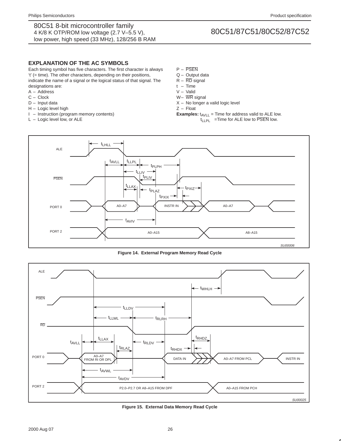# **EXPLANATION OF THE AC SYMBOLS**

Each timing symbol has five characters. The first character is always 't' (= time). The other characters, depending on their positions, indicate the name of a signal or the logical status of that signal. The designations are:

- A Address
- C Clock
- D Input data
- H Logic level high
- I Instruction (program memory contents)
- L Logic level low, or ALE
- P PSEN
- Q Output data
- $R \overline{RD}$  signal
- t Time
- V Valid
- W– WR signal
- $X No$  longer a valid logic level
- Z Float
- **Examples:**  $t_{AVLL}$  = Time for address valid to ALE low.  $t_{LLPL}$  =Time for ALE low to  $\overline{PSEN}$  low.



**Figure 14. External Program Memory Read Cycle**



**Figure 15. External Data Memory Read Cycle**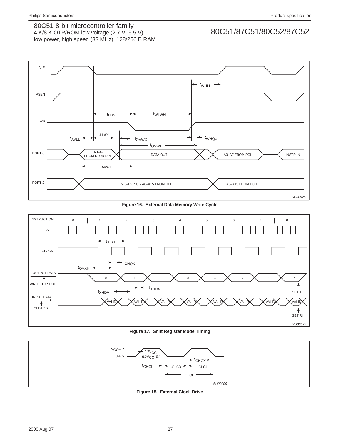

**Figure 16. External Data Memory Write Cycle**



**Figure 17. Shift Register Mode Timing**



**Figure 18. External Clock Drive**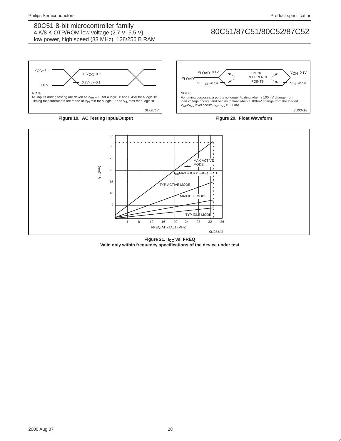

### **Figure 19. AC Testing Input/Output**







Figure 21. I<sub>CC</sub> vs. FREQ **Valid only within frequency specifications of the device under test**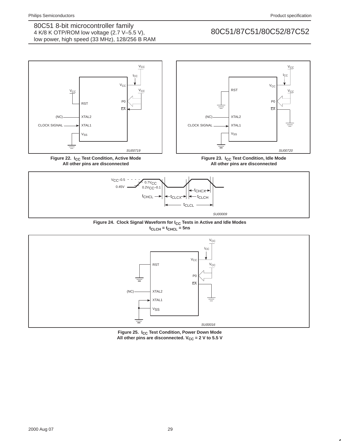



Figure 22. I<sub>CC</sub> Test Condition, Active Mode **All other pins are disconnected**

Figure 23. I<sub>CC</sub> Test Condition, Idle Mode **All other pins are disconnected**







Figure 25. I<sub>CC</sub> Test Condition, Power Down Mode All other pins are disconnected.  $V_{CC} = 2 V$  to 5.5 V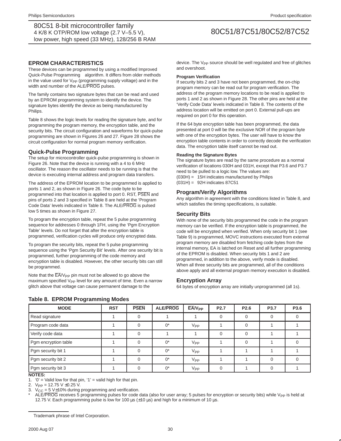### **EPROM CHARACTERISTICS**

These devices can be programmed by using a modified Improved Quick-Pulse Programming™ algorithm. It differs from older methods in the value used for  $V_{PP}$  (programming supply voltage) and in the width and number of the ALE/PROG pulses.

The family contains two signature bytes that can be read and used by an EPROM programming system to identify the device. The signature bytes identify the device as being manufactured by Philips.

Table 8 shows the logic levels for reading the signature byte, and for programming the program memory, the encryption table, and the security bits. The circuit configuration and waveforms for quick-pulse programming are shown in Figures 26 and 27. Figure 28 shows the circuit configuration for normal program memory verification.

## **Quick-Pulse Programming**

The setup for microcontroller quick-pulse programming is shown in Figure 26. Note that the device is running with a 4 to 6 MHz oscillator. The reason the oscillator needs to be running is that the device is executing internal address and program data transfers.

The address of the EPROM location to be programmed is applied to ports 1 and 2, as shown in Figure 26. The code byte to be programmed into that location is applied to port 0. RST, PSEN and pins of ports 2 and 3 specified in Table 8 are held at the 'Program Code Data' levels indicated in Table 8. The ALE/PROG is pulsed low 5 times as shown in Figure 27.

To program the encryption table, repeat the 5 pulse programming sequence for addresses 0 through 1FH, using the 'Pgm Encryption Table' levels. Do not forget that after the encryption table is programmed, verification cycles will produce only encrypted data.

To program the security bits, repeat the 5 pulse programming sequence using the 'Pgm Security Bit' levels. After one security bit is programmed, further programming of the code memory and encryption table is disabled. However, the other security bits can still be programmed.

Note that the  $\overline{\mathsf{EA}}/\mathsf{V}_{\mathsf{PP}}$  pin must not be allowed to go above the maximum specified V<sub>PP</sub> level for any amount of time. Even a narrow glitch above that voltage can cause permanent damage to the

device. The V<sub>PP</sub> source should be well regulated and free of glitches and overshoot.

#### **Program Verification**

If security bits 2 and 3 have not been programmed, the on-chip program memory can be read out for program verification. The address of the program memory locations to be read is applied to ports 1 and 2 as shown in Figure 28. The other pins are held at the 'Verify Code Data' levels indicated in Table 8. The contents of the address location will be emitted on port 0. External pull-ups are required on port 0 for this operation.

If the 64 byte encryption table has been programmed, the data presented at port 0 will be the exclusive NOR of the program byte with one of the encryption bytes. The user will have to know the encryption table contents in order to correctly decode the verification data. The encryption table itself cannot be read out.

#### **Reading the Signature Bytes**

The signature bytes are read by the same procedure as a normal verification of locations 030H and 031H, except that P3.6 and P3.7 need to be pulled to a logic low. The values are: (030H) = 15H indicates manufactured by Philips (031H) = 92H indicates 87C51

### **Program/Verify Algorithms**

Any algorithm in agreement with the conditions listed in Table 8, and which satisfies the timing specifications, is suitable.

#### **Security Bits**

With none of the security bits programmed the code in the program memory can be verified. If the encryption table is programmed, the code will be encrypted when verified. When only security bit 1 (see Table 9) is programmed, MOVC instructions executed from external program memory are disabled from fetching code bytes from the internal memory, EA is latched on Reset and all further programming of the EPROM is disabled. When security bits 1 and 2 are programmed, in addition to the above, verify mode is disabled. When all three security bits are programmed, all of the conditions above apply and all external program memory execution is disabled.

#### **Encryption Array**

64 bytes of encryption array are initially unprogrammed (all 1s).

| <b>MODE</b>          | <b>RST</b> | <b>PSEN</b> | <b>ALE/PROG</b> | $EAV_{PP}$      | P <sub>2.7</sub> | P <sub>2.6</sub> | P <sub>3.7</sub> | P3.6 |
|----------------------|------------|-------------|-----------------|-----------------|------------------|------------------|------------------|------|
| Read signature       |            |             |                 |                 |                  |                  |                  |      |
| Program code data    |            |             | $0^*$           | V <sub>PP</sub> |                  |                  |                  |      |
| Verify code data     |            |             |                 |                 |                  |                  |                  |      |
| Pgm encryption table |            |             | $0^*$           | V <sub>PP</sub> |                  |                  |                  |      |
| Pgm security bit 1   |            |             | $0^*$           | V <sub>PP</sub> |                  |                  |                  |      |
| Pgm security bit 2   |            |             | $0^*$           | V <sub>PP</sub> |                  |                  |                  |      |
| Pgm security bit 3   |            |             | $0^*$           | V <sub>PP</sub> |                  |                  |                  |      |

### **Table 8. EPROM Programming Modes**

**NOTES:**

1. '0' = Valid low for that pin, '1' = valid high for that pin.<br>2.  $V_{\text{DP}} = 12.75 \text{ V} + 0.25 \text{ V}$ 

 $V_{PP} = 12.75 V \pm 0.25 V$ .

3.  $V_{CC} = 5 V \pm 10\%$  during programming and verification.

ALE/PROG receives 5 programming pulses for code data (also for user array; 5 pulses for encryption or security bits) while V<sub>PP</sub> is held at 12.75 V. Each programming pulse is low for 100  $\mu$ s ( $\pm$ 10  $\mu$ s) and high for a minimum of 10  $\mu$ s.

<sup>™</sup>Trademark phrase of Intel Corporation.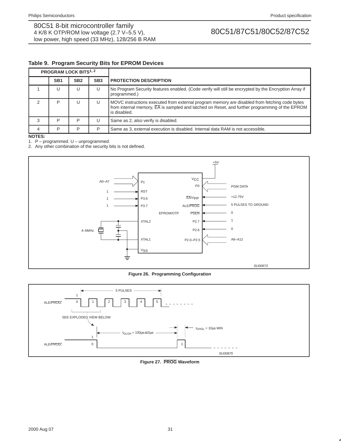# **Table 9. Program Security Bits for EPROM Devices**

| <b>PROGRAM LOCK BITS1, 2</b> |                 |                 |                 |                                                                                                                                                                                                                              |  |
|------------------------------|-----------------|-----------------|-----------------|------------------------------------------------------------------------------------------------------------------------------------------------------------------------------------------------------------------------------|--|
|                              | SB <sub>1</sub> | SB <sub>2</sub> | SB <sub>3</sub> | <b>PROTECTION DESCRIPTION</b>                                                                                                                                                                                                |  |
|                              | U               |                 | U               | No Program Security features enabled. (Code verify will still be encrypted by the Encryption Array if<br>programmed.)                                                                                                        |  |
|                              | P               |                 | U               | MOVC instructions executed from external program memory are disabled from fetching code bytes<br>from internal memory, $\overline{EA}$ is sampled and latched on Reset, and further programming of the EPROM<br>is disabled. |  |
| 3                            | P               | D               | U               | Same as 2, also verify is disabled.                                                                                                                                                                                          |  |
| Δ                            | D               | D               | P               | Same as 3, external execution is disabled. Internal data RAM is not accessible.                                                                                                                                              |  |

**NOTES:**

1. P – programmed. U – unprogrammed.

2. Any other combination of the security bits is not defined.



**Figure 26. Programming Configuration**



**Figure 27. PROG Waveform**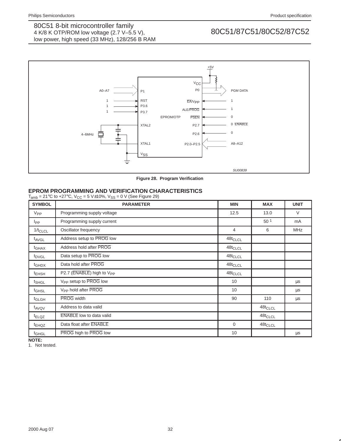

**Figure 28. Program Verification**

# **EPROM PROGRAMMING AND VERIFICATION CHARACTERISTICS**

 $T_{amb} = 21^{\circ}$ C to +27°C,  $V_{CC} = 5$  V $\pm$ 10%, V<sub>SS</sub> = 0 V (See Figure 29)

| <b>SYMBOL</b>     | <b>PARAMETER</b>                      | <b>MIN</b>     | <b>MAX</b>      | <b>UNIT</b> |
|-------------------|---------------------------------------|----------------|-----------------|-------------|
| $V_{\mathsf{PP}}$ | Programming supply voltage            | 12.5           | 13.0            | $\vee$      |
| <b>I</b> pp       | Programming supply current            |                | 50 <sup>1</sup> | mA          |
| $1/t_{CLCL}$      | Oscillator frequency                  | $\overline{4}$ | 6               | <b>MHz</b>  |
| t <sub>AVGL</sub> | Address setup to PROG low             | $48t_{CLCL}$   |                 |             |
| t <sub>GHAX</sub> | Address hold after PROG               | $48t_{CLCL}$   |                 |             |
| <sup>t</sup> DVGL | Data setup to PROG low                | $48t_{CLCL}$   |                 |             |
| <sup>t</sup> GHDX | Data hold after PROG                  | $48t_{CLCL}$   |                 |             |
| <sup>t</sup> EHSH | P2.7 (ENABLE) high to V <sub>PP</sub> | $48t_{CLCL}$   |                 |             |
| t <sub>SHGL</sub> | V <sub>PP</sub> setup to PROG low     | 10             |                 | μs          |
| t <sub>GHSL</sub> | V <sub>PP</sub> hold after PROG       | 10             |                 | μs          |
| <sup>t</sup> GLGH | <b>PROG</b> width                     | 90             | 110             | μs          |
| t <sub>AVQV</sub> | Address to data valid                 |                | $48t_{CLCL}$    |             |
| <sup>t</sup> ELQZ | <b>ENABLE</b> low to data valid       |                | $48t_{CLCL}$    |             |
| <sup>t</sup> EHQZ | Data float after <b>ENABLE</b>        | $\mathbf 0$    | $48t_{CLCL}$    |             |
| <sup>t</sup> GHGL | PROG high to PROG low                 | 10             |                 | μs          |

**NOTE:**

1. Not tested.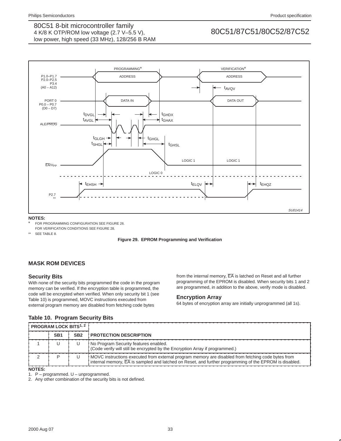

### **NOTES:**

FOR PROGRAMMING CONFIGURATION SEE FIGURE 26. FOR VERIFICATION CONDITIONS SEE FIGURE 28.

\*\* SEE TABLE 8.



# **MASK ROM DEVICES**

### **Security Bits**

With none of the security bits programmed the code in the program memory can be verified. If the encryption table is programmed, the code will be encrypted when verified. When only security bit 1 (see Table 10) is programmed, MOVC instructions executed from external program memory are disabled from fetching code bytes

from the internal memory, EA is latched on Reset and all further programming of the EPROM is disabled. When security bits 1 and 2 are programmed, in addition to the above, verify mode is disabled.

### **Encryption Array**

64 bytes of encryption array are initially unprogrammed (all 1s).

| <b>PROGRAM LOCK BITS1, 2</b> |                 |                 |                                                                                                                                                                                                              |
|------------------------------|-----------------|-----------------|--------------------------------------------------------------------------------------------------------------------------------------------------------------------------------------------------------------|
|                              | SB <sub>1</sub> | SB <sub>2</sub> | <b>PROTECTION DESCRIPTION</b>                                                                                                                                                                                |
|                              |                 |                 | No Program Security features enabled.<br>(Code verify will still be encrypted by the Encryption Array if programmed.)                                                                                        |
|                              |                 |                 | MOVC instructions executed from external program memory are disabled from fetching code bytes from<br>internal memory, EA is sampled and latched on Reset, and further programming of the EPROM is disabled. |

# **Table 10. Program Security Bits**

### **NOTES:**

1. P – programmed. U – unprogrammed.

2. Any other combination of the security bits is not defined.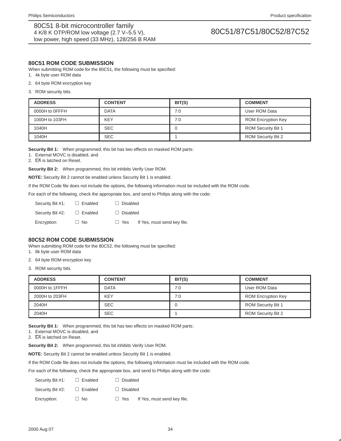### **80C51 ROM CODE SUBMISSION**

When submitting ROM code for the 80C51, the following must be specified:

- 1. 4k byte user ROM data
- 2. 64 byte ROM encryption key
- 3. ROM security bits.

| <b>ADDRESS</b> | <b>CONTENT</b> | BIT(S) | <b>COMMENT</b>            |
|----------------|----------------|--------|---------------------------|
| 0000H to OFFFH | <b>DATA</b>    | 7:0    | User ROM Data             |
| 1000H to 103FH | <b>KEY</b>     | 7:0    | <b>ROM Encryption Key</b> |
| 1040H          | <b>SEC</b>     |        | <b>ROM Security Bit 1</b> |
| 1040H          | <b>SEC</b>     |        | <b>ROM Security Bit 2</b> |

**Security Bit 1:** When programmed, this bit has two effects on masked ROM parts:

1. External MOVC is disabled, and

2. EA is latched on Reset.

**Security Bit 2:** When programmed, this bit inhibits Verify User ROM.

**NOTE:** Security Bit 2 cannot be enabled unless Security Bit 1 is enabled.

If the ROM Code file does not include the options, the following information must be included with the ROM code.

|             |                  |                                 |            |                 | For each of the following, check the appropriate box, and send to Philips along with the code: |
|-------------|------------------|---------------------------------|------------|-----------------|------------------------------------------------------------------------------------------------|
|             |                  | Security Bit #1: $\Box$ Enabled |            | $\Box$ Disabled |                                                                                                |
|             | Security Bit #2: | $\Box$ Enabled                  |            | $\Box$ Disabled |                                                                                                |
| Encryption: |                  | $\Box$ No                       | $\Box$ Yes |                 | If Yes, must send key file.                                                                    |

### **80C52 ROM CODE SUBMISSION**

When submitting ROM code for the 80C52, the following must be specified:

1. 8k byte user ROM data

2. 64 byte ROM encryption key

3. ROM security bits.

| <b>ADDRESS</b> | <b>CONTENT</b> | BIT(S) | <b>COMMENT</b>            |
|----------------|----------------|--------|---------------------------|
| 0000H to 1FFFH | <b>DATA</b>    | 7:0    | User ROM Data             |
| 2000H to 203FH | KEY            | 7:0    | <b>ROM Encryption Key</b> |
| 2040H          | <b>SEC</b>     |        | <b>ROM Security Bit 1</b> |
| 2040H          | <b>SEC</b>     |        | <b>ROM Security Bit 2</b> |

**Security Bit 1:** When programmed, this bit has two effects on masked ROM parts:

1. External MOVC is disabled, and

2. EA is latched on Reset.

**Security Bit 2:** When programmed, this bit inhibits Verify User ROM.

**NOTE:** Security Bit 2 cannot be enabled unless Security Bit 1 is enabled.

If the ROM Code file does not include the options, the following information must be included with the ROM code.

|                  |                                 |                 | For each of the following, check the appropriate box, and send to Philips along with the code: |
|------------------|---------------------------------|-----------------|------------------------------------------------------------------------------------------------|
|                  | Security Bit #1: $\Box$ Enabled | $\Box$ Disabled |                                                                                                |
| Security Bit #2: | $\Box$ Enabled                  | $\Box$ Disabled |                                                                                                |
| Encryption:      | $\Box$ No                       | $\Box$ Yes      | If Yes, must send key file.                                                                    |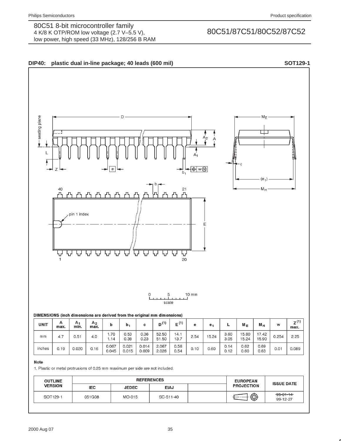

| × | ٧<br>v<br>٧ |
|---|-------------|

1. Plastic or metal protrusions of 0.25 mm maximum per side are not included.

| <b>OUTLINE</b> | <b>REFERENCES</b> |              |             | <b>EUROPEAN</b> | <b>ISSUE DATE</b> |                             |
|----------------|-------------------|--------------|-------------|-----------------|-------------------|-----------------------------|
| <b>VERSION</b> | <b>IEC</b>        | <b>JEDEC</b> | <b>EIAJ</b> |                 | <b>PROJECTION</b> |                             |
| SOT129-1       | 051G08            | MO-015       | SC-511-40   |                 | $\bigcirc$        | $-95 - 01 - 14$<br>99-12-27 |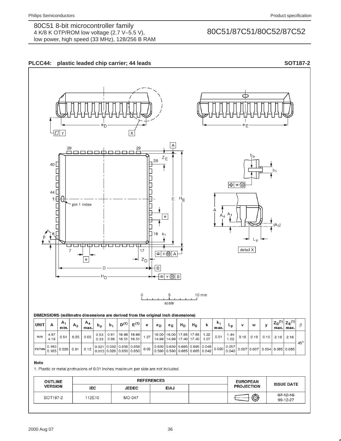



| <b>OUTLINE</b> | <b>REFERENCES</b> |              |             | <b>EUROPEAN</b> | <b>ISSUE DATE</b> |                             |
|----------------|-------------------|--------------|-------------|-----------------|-------------------|-----------------------------|
| <b>VERSION</b> | <b>IEC</b>        | <b>JEDEC</b> | <b>EIAJ</b> |                 | <b>PROJECTION</b> |                             |
| SOT187-2       | 112E10            | MO-047       |             |                 | $\bigoplus$       | $-97 - 12 - 16$<br>99-12-27 |
|                |                   |              |             |                 |                   |                             |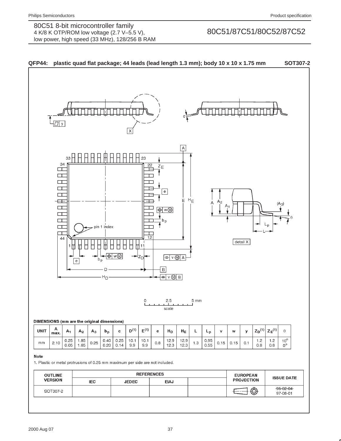